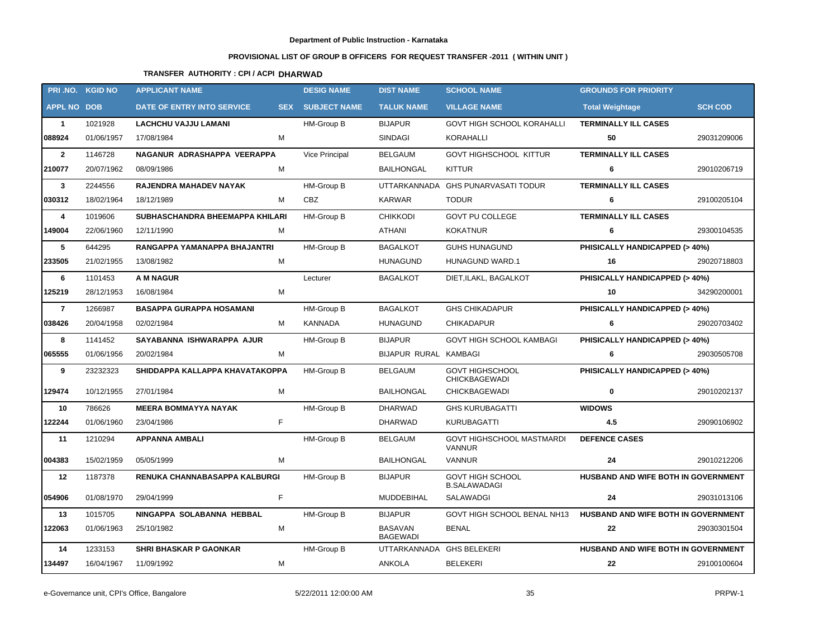## **Department of Public Instruction - Karnataka**

## **PROVISIONAL LIST OF GROUP B OFFICERS FOR REQUEST TRANSFER -2011 ( WITHIN UNIT )**

## **TRANSFER AUTHORITY : CPI / ACPI DHARWAD**

|                    | PRI .NO. KGID NO | <b>APPLICANT NAME</b>           |            | <b>DESIG NAME</b>   | <b>DIST NAME</b>           | <b>SCHOOL NAME</b>                                              | <b>GROUNDS FOR PRIORITY</b>              |                |
|--------------------|------------------|---------------------------------|------------|---------------------|----------------------------|-----------------------------------------------------------------|------------------------------------------|----------------|
| <b>APPL NO DOB</b> |                  | DATE OF ENTRY INTO SERVICE      | <b>SEX</b> | <b>SUBJECT NAME</b> | <b>TALUK NAME</b>          | <b>VILLAGE NAME</b>                                             | <b>Total Weightage</b>                   | <b>SCH COD</b> |
| $\mathbf{1}$       | 1021928          | <b>LACHCHU VAJJU LAMANI</b>     |            | HM-Group B          | <b>BIJAPUR</b>             | GOVT HIGH SCHOOL KORAHALLI                                      | <b>TERMINALLY ILL CASES</b>              |                |
| 088924             | 01/06/1957       | М<br>17/08/1984                 |            |                     | SINDAGI                    | KORAHALLI                                                       | 50                                       | 29031209006    |
| $\overline{2}$     | 1146728          | NAGANUR ADRASHAPPA VEERAPPA     |            | Vice Principal      | <b>BELGAUM</b>             | <b>GOVT HIGHSCHOOL KITTUR</b>                                   | <b>TERMINALLY ILL CASES</b>              |                |
| 210077             | 20/07/1962       | м<br>08/09/1986                 |            |                     | <b>BAILHONGAL</b>          | <b>KITTUR</b>                                                   | 6                                        | 29010206719    |
| $\mathbf{3}$       | 2244556          | RAJENDRA MAHADEV NAYAK          |            | HM-Group B          | <b>UTTARKANNADA</b>        | <b>GHS PUNARVASATI TODUR</b>                                    | <b>TERMINALLY ILL CASES</b>              |                |
| 030312             | 18/02/1964       | м<br>18/12/1989                 |            | <b>CBZ</b>          | KARWAR                     | <b>TODUR</b>                                                    | 6                                        | 29100205104    |
| 4                  | 1019606          | SUBHASCHANDRA BHEEMAPPA KHILARI |            | HM-Group B          | <b>CHIKKODI</b>            | <b>GOVT PU COLLEGE</b>                                          | <b>TERMINALLY ILL CASES</b>              |                |
| 149004             | 22/06/1960       | 12/11/1990<br>М                 |            |                     | ATHANI                     | <b>KOKATNUR</b>                                                 | 6                                        | 29300104535    |
| 5                  | 644295           | RANGAPPA YAMANAPPA BHAJANTRI    |            | HM-Group B          | <b>BAGALKOT</b>            | <b>GUHS HUNAGUND</b>                                            | PHISICALLY HANDICAPPED (> 40%)           |                |
| 233505             | 21/02/1955       | М<br>13/08/1982                 |            |                     | <b>HUNAGUND</b>            | HUNAGUND WARD.1                                                 | 16                                       | 29020718803    |
| 6                  | 1101453          | <b>A M NAGUR</b>                |            | Lecturer            | <b>BAGALKOT</b>            | DIET, ILAKL, BAGALKOT                                           | PHISICALLY HANDICAPPED (> 40%)           |                |
| 125219             | 28/12/1953       | М<br>16/08/1984                 |            |                     |                            |                                                                 | 10                                       | 34290200001    |
| $\overline{7}$     | 1266987          | <b>BASAPPA GURAPPA HOSAMANI</b> |            | HM-Group B          | <b>BAGALKOT</b>            | <b>GHS CHIKADAPUR</b>                                           | PHISICALLY HANDICAPPED (> 40%)           |                |
| 038426             | 20/04/1958       | 02/02/1984<br>м                 |            | KANNADA             | <b>HUNAGUND</b>            | <b>CHIKADAPUR</b>                                               | 6                                        | 29020703402    |
| 8                  | 1141452          | SAYABANNA ISHWARAPPA AJUR       |            | HM-Group B          | <b>BIJAPUR</b>             | <b>GOVT HIGH SCHOOL KAMBAGI</b>                                 | <b>PHISICALLY HANDICAPPED (&gt; 40%)</b> |                |
| 065555             | 01/06/1956       | 20/02/1984<br>М                 |            |                     | BIJAPUR RURAL KAMBAGI      |                                                                 | 6                                        | 29030505708    |
| 9                  | 23232323         | SHIDDAPPA KALLAPPA KHAVATAKOPPA |            | HM-Group B          | <b>BELGAUM</b>             | <b>GOVT HIGHSCHOOL</b><br><b>CHICKBAGEWADI</b>                  | PHISICALLY HANDICAPPED (> 40%)           |                |
| 129474             | 10/12/1955       | 27/01/1984<br>М                 |            |                     | <b>BAILHONGAL</b>          | <b>CHICKBAGEWADI</b>                                            | 0                                        | 29010202137    |
| 10                 | 786626           | <b>MEERA BOMMAYYA NAYAK</b>     |            | HM-Group B          | <b>DHARWAD</b>             | <b>GHS KURUBAGATTI</b>                                          | <b>WIDOWS</b>                            |                |
| 122244             | 01/06/1960       | F<br>23/04/1986                 |            |                     | DHARWAD                    | KURUBAGATTI                                                     | 4.5                                      | 29090106902    |
| 11                 | 1210294          | <b>APPANNA AMBALI</b>           |            | HM-Group B          | <b>BELGAUM</b>             | GOVT HIGHSCHOOL MASTMARDI<br><b>VANNUR</b>                      | <b>DEFENCE CASES</b>                     |                |
| 004383             | 15/02/1959       | M<br>05/05/1999                 |            |                     | <b>BAILHONGAL</b>          | <b>VANNUR</b>                                                   | 24                                       | 29010212206    |
| 12                 | 1187378          | RENUKA CHANNABASAPPA KALBURGI   |            | HM-Group B          | <b>BIJAPUR</b>             | <b>GOVT HIGH SCHOOL</b><br><b>B.SALAWADAGI</b>                  | HUSBAND AND WIFE BOTH IN GOVERNMENT      |                |
| 054906             | 01/08/1970       | 29/04/1999                      |            |                     | MUDDEBIHAL                 | SALAWADGI                                                       | 24                                       | 29031013106    |
| 13                 | 1015705          | NINGAPPA SOLABANNA HEBBAL       |            | HM-Group B          | BIJAPUR                    | GOVT HIGH SCHOOL BENAL NH13 HUSBAND AND WIFE BOTH IN GOVERNMENT |                                          |                |
| 122063             | 01/06/1963       | M<br>25/10/1982                 |            |                     | BASAVAN<br><b>BAGEWADI</b> | BENAL                                                           | 22                                       | 29030301504    |
| 14                 | 1233153          | <b>SHRI BHASKAR P GAONKAR</b>   |            | HM-Group B          | UTTARKANNADA GHS BELEKERI  |                                                                 | HUSBAND AND WIFE BOTH IN GOVERNMENT      |                |
| 134497             | 16/04/1967       | 11/09/1992<br>М                 |            |                     | ANKOLA                     | <b>BELEKERI</b>                                                 | 22                                       | 29100100604    |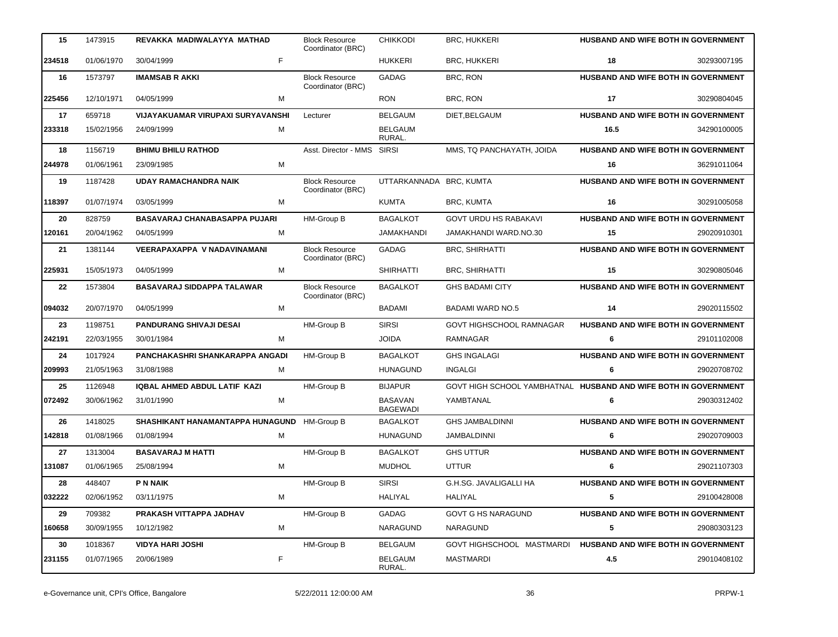| 15               | 1473915    | REVAKKA MADIWALAYYA MATHAD               | <b>Block Resource</b><br>Coordinator (BRC) | <b>CHIKKODI</b>                   | <b>BRC, HUKKERI</b>                                             | <b>HUSBAND AND WIFE BOTH IN GOVERNMENT</b> |             |
|------------------|------------|------------------------------------------|--------------------------------------------|-----------------------------------|-----------------------------------------------------------------|--------------------------------------------|-------------|
| 234518           | 01/06/1970 | F<br>30/04/1999                          |                                            | <b>HUKKERI</b>                    | <b>BRC, HUKKERI</b>                                             | 18                                         | 30293007195 |
| 16               | 1573797    | <b>IMAMSAB R AKKI</b>                    | <b>Block Resource</b><br>Coordinator (BRC) | <b>GADAG</b>                      | BRC, RON                                                        | HUSBAND AND WIFE BOTH IN GOVERNMENT        |             |
| 225456           | 12/10/1971 | M<br>04/05/1999                          |                                            | <b>RON</b>                        | BRC, RON                                                        | 17                                         | 30290804045 |
| 17               | 659718     | <b>VIJAYAKUAMAR VIRUPAXI SURYAVANSHI</b> | Lecturer                                   | <b>BELGAUM</b>                    | DIET, BELGAUM                                                   | <b>HUSBAND AND WIFE BOTH IN GOVERNMENT</b> |             |
| 233318           | 15/02/1956 | 24/09/1999<br>M                          |                                            | <b>BELGAUM</b><br>RURAL.          |                                                                 | 16.5                                       | 34290100005 |
| 18               | 1156719    | <b>BHIMU BHILU RATHOD</b>                | Asst. Director - MMS SIRSI                 |                                   | MMS, TQ PANCHAYATH, JOIDA                                       | HUSBAND AND WIFE BOTH IN GOVERNMENT        |             |
| 244978           | 01/06/1961 | M<br>23/09/1985                          |                                            |                                   |                                                                 | 16                                         | 36291011064 |
| 19               | 1187428    | <b>UDAY RAMACHANDRA NAIK</b>             | <b>Block Resource</b><br>Coordinator (BRC) | UTTARKANNADA BRC, KUMTA           |                                                                 | <b>HUSBAND AND WIFE BOTH IN GOVERNMENT</b> |             |
| 118397           | 01/07/1974 | 03/05/1999<br>м                          |                                            | <b>KUMTA</b>                      | <b>BRC, KUMTA</b>                                               | 16                                         | 30291005058 |
| 20               | 828759     | <b>BASAVARAJ CHANABASAPPA PUJARI</b>     | HM-Group B                                 | <b>BAGALKOT</b>                   | <b>GOVT URDU HS RABAKAVI</b>                                    | HUSBAND AND WIFE BOTH IN GOVERNMENT        |             |
| 120161           | 20/04/1962 | 04/05/1999<br>M                          |                                            | <b>JAMAKHANDI</b>                 | JAMAKHANDI WARD.NO.30                                           | 15                                         | 29020910301 |
| 21               | 1381144    | VEERAPAXAPPA V NADAVINAMANI              | <b>Block Resource</b><br>Coordinator (BRC) | <b>GADAG</b>                      | <b>BRC, SHIRHATTI</b>                                           | HUSBAND AND WIFE BOTH IN GOVERNMENT        |             |
| 225931           | 15/05/1973 | M<br>04/05/1999                          |                                            | <b>SHIRHATTI</b>                  | <b>BRC, SHIRHATTI</b>                                           | 15                                         | 30290805046 |
| $22\phantom{.0}$ | 1573804    | <b>BASAVARAJ SIDDAPPA TALAWAR</b>        | <b>Block Resource</b><br>Coordinator (BRC) | <b>BAGALKOT</b>                   | <b>GHS BADAMI CITY</b>                                          | HUSBAND AND WIFE BOTH IN GOVERNMENT        |             |
| 094032           | 20/07/1970 | 04/05/1999<br>м                          |                                            | BADAMI                            | <b>BADAMI WARD NO.5</b>                                         | 14                                         | 29020115502 |
| 23               | 1198751    | <b>PANDURANG SHIVAJI DESAI</b>           | HM-Group B                                 | <b>SIRSI</b>                      | <b>GOVT HIGHSCHOOL RAMNAGAR</b>                                 | <b>HUSBAND AND WIFE BOTH IN GOVERNMENT</b> |             |
| 242191           | 22/03/1955 | M<br>30/01/1984                          |                                            | <b>JOIDA</b>                      | <b>RAMNAGAR</b>                                                 | 6                                          | 29101102008 |
| 24               | 1017924    | PANCHAKASHRI SHANKARAPPA ANGADI          | HM-Group B                                 | <b>BAGALKOT</b>                   | <b>GHS INGALAGI</b>                                             | HUSBAND AND WIFE BOTH IN GOVERNMENT        |             |
| 209993           | 21/05/1963 | 31/08/1988<br>м                          |                                            | <b>HUNAGUND</b>                   | <b>INGALGI</b>                                                  | 6                                          | 29020708702 |
| 25               | 1126948    | IQBAL AHMED ABDUL LATIF KAZI             | HM-Group B                                 | <b>BIJAPUR</b>                    | GOVT HIGH SCHOOL YAMBHATNAL HUSBAND AND WIFE BOTH IN GOVERNMENT |                                            |             |
| 072492           | 30/06/1962 | M<br>31/01/1990                          |                                            | <b>BASAVAN</b><br><b>BAGEWADI</b> | YAMBTANAL                                                       | 6                                          | 29030312402 |
| 26               | 1418025    | SHASHIKANT HANAMANTAPPA HUNAGUND         | <b>HM-Group B</b>                          | <b>BAGALKOT</b>                   | <b>GHS JAMBALDINNI</b>                                          | HUSBAND AND WIFE BOTH IN GOVERNMENT        |             |
| 142818           | 01/08/1966 | M<br>01/08/1994                          |                                            | <b>HUNAGUND</b>                   | <b>JAMBALDINNI</b>                                              | 6                                          | 29020709003 |
| 27               | 1313004    | <b>BASAVARAJ M HATTI</b>                 | HM-Group B                                 | <b>BAGALKOT</b>                   | <b>GHS UTTUR</b>                                                | HUSBAND AND WIFE BOTH IN GOVERNMENT        |             |
| 131087           | 01/06/1965 | M<br>25/08/1994                          |                                            | <b>MUDHOL</b>                     | <b>UTTUR</b>                                                    | 6                                          | 29021107303 |
| 28               | 448407     | <b>P N NAIK</b>                          | HM-Group B                                 | <b>SIRSI</b>                      | G.H.SG. JAVALIGALLI HA                                          | HUSBAND AND WIFE BOTH IN GOVERNMENT        |             |
| 032222           | 02/06/1952 | M<br>03/11/1975                          |                                            | HALIYAL                           | HALIYAL                                                         | 5                                          | 29100428008 |
| 29               | 709382     | PRAKASH VITTAPPA JADHAV                  | HM-Group B                                 | GADAG                             | <b>GOVT G HS NARAGUND</b>                                       | HUSBAND AND WIFE BOTH IN GOVERNMENT        |             |
| 160658           | 30/09/1955 | M<br>10/12/1982                          |                                            | NARAGUND                          | NARAGUND                                                        | 5                                          | 29080303123 |
| 30               | 1018367    | <b>VIDYA HARI JOSHI</b>                  | HM-Group B                                 | <b>BELGAUM</b>                    | GOVT HIGHSCHOOL MASTMARDI                                       | HUSBAND AND WIFE BOTH IN GOVERNMENT        |             |
| 231155           | 01/07/1965 | F<br>20/06/1989                          |                                            | BELGAUM<br>RURAL.                 | <b>MASTMARDI</b>                                                | 4.5                                        | 29010408102 |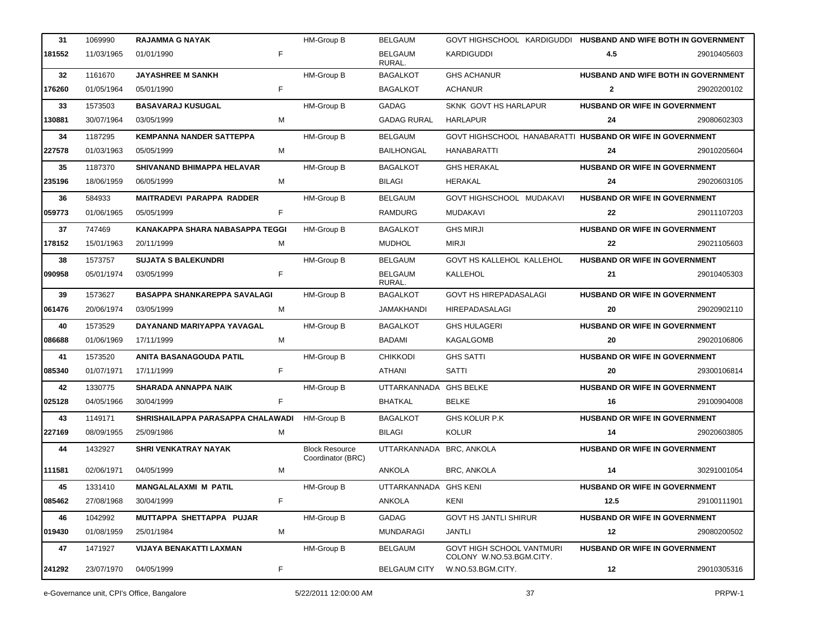| 31     | 1069990    | <b>RAJAMMA G NAYAK</b>              |    | <b>HM-Group B</b>                          | <b>BELGAUM</b>           | GOVT HIGHSCHOOL KARDIGUDDI HUSBAND AND WIFE BOTH IN GOVERNMENT |                                      |             |
|--------|------------|-------------------------------------|----|--------------------------------------------|--------------------------|----------------------------------------------------------------|--------------------------------------|-------------|
| 181552 | 11/03/1965 | 01/01/1990                          | F  |                                            | <b>BELGAUM</b><br>RURAL. | <b>KARDIGUDDI</b>                                              | 4.5                                  | 29010405603 |
| 32     | 1161670    | <b>JAYASHREE M SANKH</b>            |    | <b>HM-Group B</b>                          | <b>BAGALKOT</b>          | <b>GHS ACHANUR</b>                                             | HUSBAND AND WIFE BOTH IN GOVERNMENT  |             |
| 176260 | 01/05/1964 | 05/01/1990                          | F  |                                            | <b>BAGALKOT</b>          | <b>ACHANUR</b>                                                 | $\mathbf{2}$                         | 29020200102 |
| 33     | 1573503    | <b>BASAVARAJ KUSUGAL</b>            |    | HM-Group B                                 | GADAG                    | SKNK GOVT HS HARLAPUR                                          | HUSBAND OR WIFE IN GOVERNMENT        |             |
| 130881 | 30/07/1964 | 03/05/1999                          | м  |                                            | <b>GADAG RURAL</b>       | HARLAPUR                                                       | 24                                   | 29080602303 |
| 34     | 1187295    | <b>KEMPANNA NANDER SATTEPPA</b>     |    | HM-Group B                                 | <b>BELGAUM</b>           | GOVT HIGHSCHOOL HANABARATTI HUSBAND OR WIFE IN GOVERNMENT      |                                      |             |
| 227578 | 01/03/1963 | 05/05/1999                          | м  |                                            | <b>BAILHONGAL</b>        | HANABARATTI                                                    | 24                                   | 29010205604 |
| 35     | 1187370    | SHIVANAND BHIMAPPA HELAVAR          |    | HM-Group B                                 | <b>BAGALKOT</b>          | <b>GHS HERAKAL</b>                                             | <b>HUSBAND OR WIFE IN GOVERNMENT</b> |             |
| 235196 | 18/06/1959 | 06/05/1999                          | м  |                                            | <b>BILAGI</b>            | HERAKAL                                                        | 24                                   | 29020603105 |
| 36     | 584933     | <b>MAITRADEVI PARAPPA RADDER</b>    |    | <b>HM-Group B</b>                          | <b>BELGAUM</b>           | GOVT HIGHSCHOOL MUDAKAVI                                       | <b>HUSBAND OR WIFE IN GOVERNMENT</b> |             |
| 059773 | 01/06/1965 | 05/05/1999                          | F  |                                            | RAMDURG                  | MUDAKAVI                                                       | 22                                   | 29011107203 |
| 37     | 747469     | KANAKAPPA SHARA NABASAPPA TEGGI     |    | <b>HM-Group B</b>                          | <b>BAGALKOT</b>          | <b>GHS MIRJI</b>                                               | <b>HUSBAND OR WIFE IN GOVERNMENT</b> |             |
| 178152 | 15/01/1963 | 20/11/1999                          | м  |                                            | <b>MUDHOL</b>            | <b>MIRJI</b>                                                   | 22                                   | 29021105603 |
| 38     | 1573757    | <b>SUJATA S BALEKUNDRI</b>          |    | HM-Group B                                 | <b>BELGAUM</b>           | <b>GOVT HS KALLEHOL KALLEHOL</b>                               | HUSBAND OR WIFE IN GOVERNMENT        |             |
| 090958 | 05/01/1974 | 03/05/1999                          | F  |                                            | <b>BELGAUM</b><br>RURAL. | KALLEHOL                                                       | 21                                   | 29010405303 |
| 39     | 1573627    | <b>BASAPPA SHANKAREPPA SAVALAGI</b> |    | HM-Group B                                 | <b>BAGALKOT</b>          | <b>GOVT HS HIREPADASALAGI</b>                                  | HUSBAND OR WIFE IN GOVERNMENT        |             |
| 061476 | 20/06/1974 | 03/05/1999                          | м  |                                            | <b>JAMAKHANDI</b>        | <b>HIREPADASALAGI</b>                                          | 20                                   | 29020902110 |
| 40     | 1573529    | DAYANAND MARIYAPPA YAVAGAL          |    | HM-Group B                                 | <b>BAGALKOT</b>          | <b>GHS HULAGERI</b>                                            | <b>HUSBAND OR WIFE IN GOVERNMENT</b> |             |
| 086688 | 01/06/1969 | 17/11/1999                          | м  |                                            | BADAMI                   | KAGALGOMB                                                      | 20                                   | 29020106806 |
| 41     | 1573520    | ANITA BASANAGOUDA PATIL             |    | <b>HM-Group B</b>                          | <b>CHIKKODI</b>          | <b>GHS SATTI</b>                                               | <b>HUSBAND OR WIFE IN GOVERNMENT</b> |             |
| 085340 | 01/07/1971 | 17/11/1999                          | F. |                                            | ATHANI                   | <b>SATTI</b>                                                   | 20                                   | 29300106814 |
| 42     | 1330775    | <b>SHARADA ANNAPPA NAIK</b>         |    | HM-Group B                                 | UTTARKANNADA GHS BELKE   |                                                                | HUSBAND OR WIFE IN GOVERNMENT        |             |
| 025128 | 04/05/1966 | 30/04/1999                          | F  |                                            | <b>BHATKAL</b>           | <b>BELKE</b>                                                   | 16                                   | 29100904008 |
| 43     | 1149171    | SHRISHAILAPPA PARASAPPA CHALAWADI   |    | <b>HM-Group B</b>                          | <b>BAGALKOT</b>          | GHS KOLUR P.K                                                  | HUSBAND OR WIFE IN GOVERNMENT        |             |
| 227169 | 08/09/1955 | 25/09/1986                          | м  |                                            | <b>BILAGI</b>            | <b>KOLUR</b>                                                   | 14                                   | 29020603805 |
| 44     | 1432927    | SHRI VENKATRAY NAYAK                |    | <b>Block Resource</b><br>Coordinator (BRC) | UTTARKANNADA BRC, ANKOLA |                                                                | HUSBAND OR WIFE IN GOVERNMENT        |             |
| 111581 | 02/06/1971 | 04/05/1999                          | м  |                                            | ANKOLA                   | <b>BRC, ANKOLA</b>                                             | 14                                   | 30291001054 |
| 45     | 1331410    | <b>MANGALALAXMI M PATIL</b>         |    | HM-Group B                                 | UTTARKANNADA GHS KENI    |                                                                | <b>HUSBAND OR WIFE IN GOVERNMENT</b> |             |
| 085462 | 27/08/1968 | 30/04/1999                          | F  |                                            | ANKOLA                   | KENI                                                           | 12.5                                 | 29100111901 |
| 46     | 1042992    | MUTTAPPA SHETTAPPA PUJAR            |    | HM-Group B                                 | GADAG                    | <b>GOVT HS JANTLI SHIRUR</b>                                   | HUSBAND OR WIFE IN GOVERNMENT        |             |
| 019430 | 01/08/1959 | 25/01/1984                          | м  |                                            | <b>MUNDARAGI</b>         | JANTLI                                                         | 12                                   | 29080200502 |
| 47     | 1471927    | VIJAYA BENAKATTI LAXMAN             |    | HM-Group B                                 | <b>BELGAUM</b>           | <b>GOVT HIGH SCHOOL VANTMURI</b><br>COLONY W.NO.53.BGM.CITY.   | <b>HUSBAND OR WIFE IN GOVERNMENT</b> |             |
| 241292 | 23/07/1970 | 04/05/1999                          | F  |                                            | <b>BELGAUM CITY</b>      | W.NO.53.BGM.CITY.                                              | $12$                                 | 29010305316 |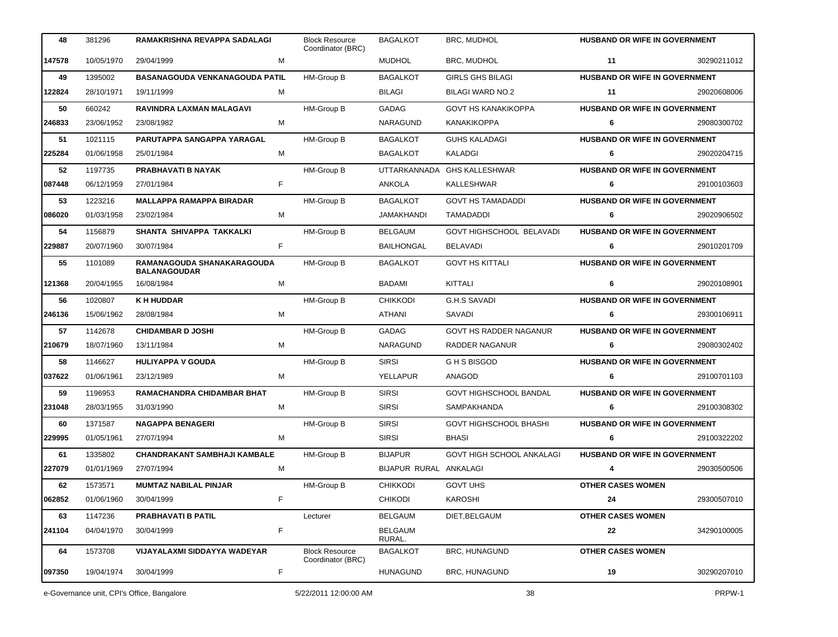| 48     | 381296     | RAMAKRISHNA REVAPPA SADALAGI                      |    | <b>Block Resource</b><br>Coordinator (BRC) | <b>BAGALKOT</b>          | <b>BRC, MUDHOL</b>            | <b>HUSBAND OR WIFE IN GOVERNMENT</b> |             |
|--------|------------|---------------------------------------------------|----|--------------------------------------------|--------------------------|-------------------------------|--------------------------------------|-------------|
| 147578 | 10/05/1970 | 29/04/1999                                        | M  |                                            | <b>MUDHOL</b>            | BRC, MUDHOL                   | 11                                   | 30290211012 |
| 49     | 1395002    | BASANAGOUDA VENKANAGOUDA PATIL                    |    | HM-Group B                                 | <b>BAGALKOT</b>          | <b>GIRLS GHS BILAGI</b>       | <b>HUSBAND OR WIFE IN GOVERNMENT</b> |             |
| 122824 | 28/10/1971 | 19/11/1999                                        | м  |                                            | <b>BILAGI</b>            | <b>BILAGI WARD NO.2</b>       | 11                                   | 29020608006 |
| 50     | 660242     | RAVINDRA LAXMAN MALAGAVI                          |    | HM-Group B                                 | GADAG                    | <b>GOVT HS KANAKIKOPPA</b>    | HUSBAND OR WIFE IN GOVERNMENT        |             |
| 246833 | 23/06/1952 | 23/08/1982                                        | М  |                                            | NARAGUND                 | KANAKIKOPPA                   | 6                                    | 29080300702 |
| 51     | 1021115    | PARUTAPPA SANGAPPA YARAGAL                        |    | HM-Group B                                 | <b>BAGALKOT</b>          | <b>GUHS KALADAGI</b>          | HUSBAND OR WIFE IN GOVERNMENT        |             |
| 225284 | 01/06/1958 | 25/01/1984                                        | м  |                                            | <b>BAGALKOT</b>          | KALADGI                       | 6                                    | 29020204715 |
| 52     | 1197735    | <b>PRABHAVATI B NAYAK</b>                         |    | HM-Group B                                 | <b>UTTARKANNADA</b>      | <b>GHS KALLESHWAR</b>         | <b>HUSBAND OR WIFE IN GOVERNMENT</b> |             |
| 087448 | 06/12/1959 | 27/01/1984                                        | F. |                                            | ANKOLA                   | KALLESHWAR                    | 6                                    | 29100103603 |
| 53     | 1223216    | <b>MALLAPPA RAMAPPA BIRADAR</b>                   |    | HM-Group B                                 | <b>BAGALKOT</b>          | <b>GOVT HS TAMADADDI</b>      | <b>HUSBAND OR WIFE IN GOVERNMENT</b> |             |
| 086020 | 01/03/1958 | 23/02/1984                                        | M  |                                            | <b>JAMAKHANDI</b>        | TAMADADDI                     | 6                                    | 29020906502 |
| 54     | 1156879    | SHANTA SHIVAPPA TAKKALKI                          |    | <b>HM-Group B</b>                          | <b>BELGAUM</b>           | GOVT HIGHSCHOOL BELAVADI      | HUSBAND OR WIFE IN GOVERNMENT        |             |
| 229887 | 20/07/1960 | 30/07/1984                                        | F  |                                            | <b>BAILHONGAL</b>        | <b>BELAVADI</b>               | 6                                    | 29010201709 |
| 55     | 1101089    | RAMANAGOUDA SHANAKARAGOUDA<br><b>BALANAGOUDAR</b> |    | HM-Group B                                 | <b>BAGALKOT</b>          | <b>GOVT HS KITTALI</b>        | HUSBAND OR WIFE IN GOVERNMENT        |             |
| 121368 | 20/04/1955 | 16/08/1984                                        | M  |                                            | <b>BADAMI</b>            | KITTALI                       | 6                                    | 29020108901 |
| 56     | 1020807    | <b>K H HUDDAR</b>                                 |    | <b>HM-Group B</b>                          | <b>CHIKKODI</b>          | <b>G.H.S SAVADI</b>           | HUSBAND OR WIFE IN GOVERNMENT        |             |
| 246136 | 15/06/1962 | 28/08/1984                                        | м  |                                            | ATHANI                   | SAVADI                        | 6                                    | 29300106911 |
| 57     | 1142678    | <b>CHIDAMBAR D JOSHI</b>                          |    | HM-Group B                                 | <b>GADAG</b>             | GOVT HS RADDER NAGANUR        | HUSBAND OR WIFE IN GOVERNMENT        |             |
| 210679 | 18/07/1960 | 13/11/1984                                        | м  |                                            | NARAGUND                 | RADDER NAGANUR                | 6                                    | 29080302402 |
| 58     | 1146627    | <b>HULIYAPPA V GOUDA</b>                          |    | HM-Group B                                 | <b>SIRSI</b>             | G H S BISGOD                  | HUSBAND OR WIFE IN GOVERNMENT        |             |
| 037622 | 01/06/1961 | 23/12/1989                                        | М  |                                            | YELLAPUR                 | ANAGOD                        | 6                                    | 29100701103 |
| 59     | 1196953    | RAMACHANDRA CHIDAMBAR BHAT                        |    | HM-Group B                                 | <b>SIRSI</b>             | <b>GOVT HIGHSCHOOL BANDAL</b> | HUSBAND OR WIFE IN GOVERNMENT        |             |
| 231048 | 28/03/1955 | 31/03/1990                                        | м  |                                            | <b>SIRSI</b>             | SAMPAKHANDA                   | 6                                    | 29100308302 |
| 60     | 1371587    | <b>NAGAPPA BENAGERI</b>                           |    | <b>HM-Group B</b>                          | <b>SIRSI</b>             | <b>GOVT HIGHSCHOOL BHASHI</b> | HUSBAND OR WIFE IN GOVERNMENT        |             |
| 229995 | 01/05/1961 | 27/07/1994                                        | м  |                                            | <b>SIRSI</b>             | <b>BHASI</b>                  | 6                                    | 29100322202 |
| 61     | 1335802    | CHANDRAKANT SAMBHAJI KAMBALE                      |    | HM-Group B                                 | <b>BIJAPUR</b>           | GOVT HIGH SCHOOL ANKALAGI     | <b>HUSBAND OR WIFE IN GOVERNMENT</b> |             |
| 227079 | 01/01/1969 | 27/07/1994                                        | м  |                                            | BIJAPUR RURAL ANKALAGI   |                               |                                      | 29030500506 |
| 62     | 1573571    | <b>MUMTAZ NABILAL PINJAR</b>                      |    | HM-Group B                                 | <b>CHIKKODI</b>          | <b>GOVT UHS</b>               | <b>OTHER CASES WOMEN</b>             |             |
| 062852 | 01/06/1960 | 30/04/1999                                        | F  |                                            | <b>CHIKODI</b>           | <b>KAROSHI</b>                | 24                                   | 29300507010 |
| 63     | 1147236    | PRABHAVATI B PATIL                                |    | Lecturer                                   | <b>BELGAUM</b>           | DIET, BELGAUM                 | <b>OTHER CASES WOMEN</b>             |             |
| 241104 | 04/04/1970 | 30/04/1999                                        | F  |                                            | <b>BELGAUM</b><br>RURAL. |                               | 22                                   | 34290100005 |
| 64     | 1573708    | VIJAYALAXMI SIDDAYYA WADEYAR                      |    | <b>Block Resource</b><br>Coordinator (BRC) | <b>BAGALKOT</b>          | <b>BRC, HUNAGUND</b>          | <b>OTHER CASES WOMEN</b>             |             |
| 097350 | 19/04/1974 | 30/04/1999                                        | F  |                                            | <b>HUNAGUND</b>          | <b>BRC, HUNAGUND</b>          | 19                                   | 30290207010 |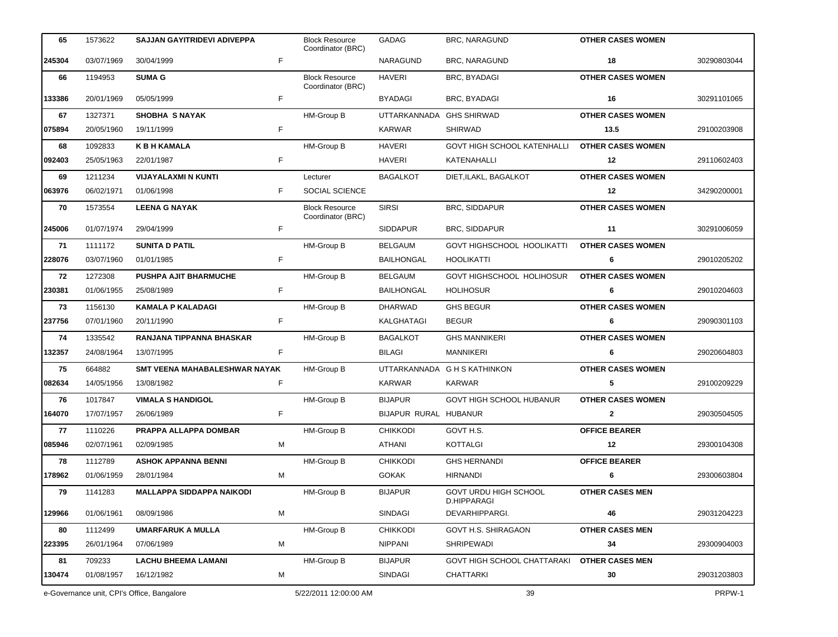| 65     | 1573622    | <b>SAJJAN GAYITRIDEVI ADIVEPPA</b>         |    | <b>Block Resource</b><br>Coordinator (BRC) | GADAG                    | <b>BRC, NARAGUND</b>                        | <b>OTHER CASES WOMEN</b> |             |
|--------|------------|--------------------------------------------|----|--------------------------------------------|--------------------------|---------------------------------------------|--------------------------|-------------|
| 245304 | 03/07/1969 | 30/04/1999                                 | F  |                                            | NARAGUND                 | <b>BRC, NARAGUND</b>                        | 18                       | 30290803044 |
| 66     | 1194953    | <b>SUMA G</b>                              |    | <b>Block Resource</b><br>Coordinator (BRC) | <b>HAVERI</b>            | <b>BRC, BYADAGI</b>                         | <b>OTHER CASES WOMEN</b> |             |
| 133386 | 20/01/1969 | 05/05/1999                                 | F  |                                            | <b>BYADAGI</b>           | BRC, BYADAGI                                | 16                       | 30291101065 |
| 67     | 1327371    | <b>SHOBHA S NAYAK</b>                      |    | HM-Group B                                 | UTTARKANNADA GHS SHIRWAD |                                             | <b>OTHER CASES WOMEN</b> |             |
| 075894 | 20/05/1960 | 19/11/1999                                 | F. |                                            | <b>KARWAR</b>            | <b>SHIRWAD</b>                              | 13.5                     | 29100203908 |
| 68     | 1092833    | <b>K B H KAMALA</b>                        |    | HM-Group B                                 | <b>HAVERI</b>            | <b>GOVT HIGH SCHOOL KATENHALLI</b>          | <b>OTHER CASES WOMEN</b> |             |
| 092403 | 25/05/1963 | 22/01/1987                                 | F. |                                            | HAVERI                   | KATENAHALLI                                 | 12                       | 29110602403 |
| 69     | 1211234    | <b>VIJAYALAXMI N KUNTI</b>                 |    | Lecturer                                   | <b>BAGALKOT</b>          | DIET, ILAKL, BAGALKOT                       | <b>OTHER CASES WOMEN</b> |             |
| 063976 | 06/02/1971 | 01/06/1998                                 | F  | SOCIAL SCIENCE                             |                          |                                             | 12                       | 34290200001 |
| 70     | 1573554    | <b>LEENA G NAYAK</b>                       |    | <b>Block Resource</b><br>Coordinator (BRC) | <b>SIRSI</b>             | <b>BRC, SIDDAPUR</b>                        | <b>OTHER CASES WOMEN</b> |             |
| 245006 | 01/07/1974 | 29/04/1999                                 | F. |                                            | <b>SIDDAPUR</b>          | <b>BRC, SIDDAPUR</b>                        | 11                       | 30291006059 |
| 71     | 1111172    | <b>SUNITA D PATIL</b>                      |    | HM-Group B                                 | <b>BELGAUM</b>           | GOVT HIGHSCHOOL HOOLIKATTI                  | <b>OTHER CASES WOMEN</b> |             |
| 228076 | 03/07/1960 | 01/01/1985                                 | F. |                                            | <b>BAILHONGAL</b>        | <b>HOOLIKATTI</b>                           | 6                        | 29010205202 |
| 72     | 1272308    | <b>PUSHPA AJIT BHARMUCHE</b>               |    | HM-Group B                                 | <b>BELGAUM</b>           | GOVT HIGHSCHOOL HOLIHOSUR                   | <b>OTHER CASES WOMEN</b> |             |
| 230381 | 01/06/1955 | 25/08/1989                                 | F. |                                            | <b>BAILHONGAL</b>        | <b>HOLIHOSUR</b>                            | 6                        | 29010204603 |
| 73     | 1156130    | <b>KAMALA P KALADAGI</b>                   |    | HM-Group B                                 | <b>DHARWAD</b>           | <b>GHS BEGUR</b>                            | <b>OTHER CASES WOMEN</b> |             |
| 237756 | 07/01/1960 | 20/11/1990                                 | F. |                                            | KALGHATAGI               | <b>BEGUR</b>                                | 6                        | 29090301103 |
| 74     | 1335542    | RANJANA TIPPANNA BHASKAR                   |    | HM-Group B                                 | <b>BAGALKOT</b>          | <b>GHS MANNIKERI</b>                        | <b>OTHER CASES WOMEN</b> |             |
| 132357 | 24/08/1964 | 13/07/1995                                 | F. |                                            | <b>BILAGI</b>            | <b>MANNIKERI</b>                            | 6                        | 29020604803 |
| 75     | 664882     | SMT VEENA MAHABALESHWAR NAYAK              |    | HM-Group B                                 |                          | UTTARKANNADA G H S KATHINKON                | <b>OTHER CASES WOMEN</b> |             |
| 082634 | 14/05/1956 | 13/08/1982                                 | F. |                                            | <b>KARWAR</b>            | <b>KARWAR</b>                               | 5                        | 29100209229 |
| 76     | 1017847    | <b>VIMALA S HANDIGOL</b>                   |    | HM-Group B                                 | <b>BIJAPUR</b>           | GOVT HIGH SCHOOL HUBANUR                    | <b>OTHER CASES WOMEN</b> |             |
| 164070 | 17/07/1957 | 26/06/1989                                 | F. |                                            | BIJAPUR RURAL HUBANUR    |                                             | $\mathbf{2}$             | 29030504505 |
| 77     | 1110226    | PRAPPA ALLAPPA DOMBAR                      |    | HM-Group B                                 | <b>CHIKKODI</b>          | GOVT H.S.                                   | <b>OFFICE BEARER</b>     |             |
| 085946 | 02/07/1961 | 02/09/1985                                 | M  |                                            | ATHANI                   | <b>KOTTALGI</b>                             | 12                       | 29300104308 |
| 78     | 1112789    | <b>ASHOK APPANNA BENNI</b>                 |    | HM-Group B                                 | <b>CHIKKODI</b>          | <b>GHS HERNANDI</b>                         | <b>OFFICE BEARER</b>     |             |
| 178962 | 01/06/1959 | 28/01/1984                                 | м  |                                            | <b>GOKAK</b>             | HIRNANDI                                    | 6                        | 29300603804 |
| 79     | 1141283    | <b>MALLAPPA SIDDAPPA NAIKODI</b>           |    | HM-Group B                                 | <b>BIJAPUR</b>           | <b>GOVT URDU HIGH SCHOOL</b><br>D.HIPPARAGI | <b>OTHER CASES MEN</b>   |             |
| 129966 | 01/06/1961 | 08/09/1986                                 | M  |                                            | SINDAGI                  | DEVARHIPPARGI.                              | 46                       | 29031204223 |
| 80     | 1112499    | <b>UMARFARUK A MULLA</b>                   |    | HM-Group B                                 | <b>CHIKKODI</b>          | GOVT H.S. SHIRAGAON                         | <b>OTHER CASES MEN</b>   |             |
| 223395 | 26/01/1964 | 07/06/1989                                 | м  |                                            | <b>NIPPANI</b>           | <b>SHRIPEWADI</b>                           | 34                       | 29300904003 |
| 81     | 709233     | <b>LACHU BHEEMA LAMANI</b>                 |    | HM-Group B                                 | <b>BIJAPUR</b>           | GOVT HIGH SCHOOL CHATTARAKI                 | <b>OTHER CASES MEN</b>   |             |
| 130474 | 01/08/1957 | 16/12/1982                                 | м  |                                            | <b>SINDAGI</b>           | CHATTARKI                                   | 30                       | 29031203803 |
|        |            | e-Governance unit, CPI's Office, Bangalore |    | 5/22/2011 12:00:00 AM                      |                          | 39                                          |                          | PRPW-1      |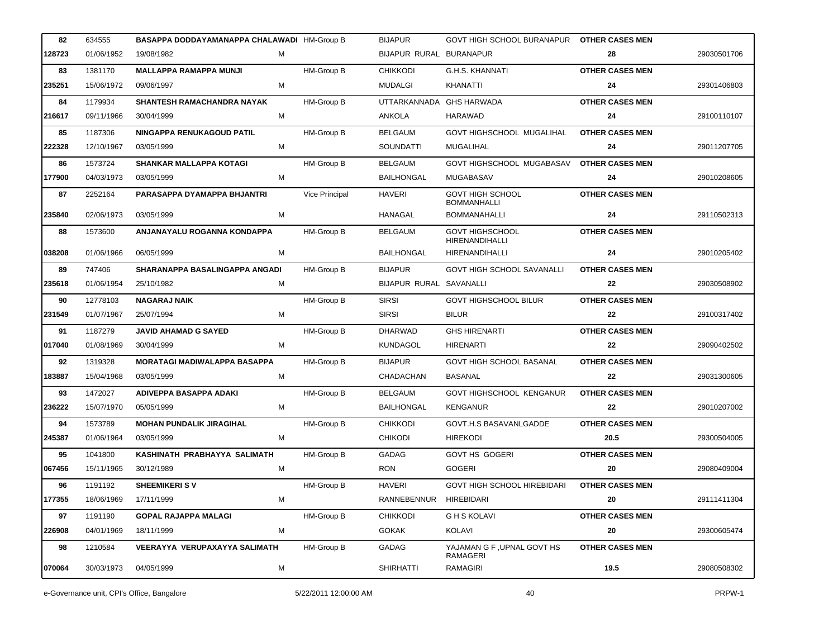| 82     | 634555     | BASAPPA DODDAYAMANAPPA CHALAWADI HM-Group B |   |                   | <b>BIJAPUR</b>          | GOVT HIGH SCHOOL BURANAPUR OTHER CASES MEN    |                        |             |
|--------|------------|---------------------------------------------|---|-------------------|-------------------------|-----------------------------------------------|------------------------|-------------|
| 128723 | 01/06/1952 | 19/08/1982                                  | м |                   | BIJAPUR RURAL BURANAPUR |                                               | 28                     | 29030501706 |
| 83     | 1381170    | <b>MALLAPPA RAMAPPA MUNJI</b>               |   | HM-Group B        | <b>CHIKKODI</b>         | <b>G.H.S. KHANNATI</b>                        | <b>OTHER CASES MEN</b> |             |
| 235251 | 15/06/1972 | 09/06/1997                                  | М |                   | <b>MUDALGI</b>          | <b>KHANATTI</b>                               | 24                     | 29301406803 |
| 84     | 1179934    | <b>SHANTESH RAMACHANDRA NAYAK</b>           |   | <b>HM-Group B</b> | UTTARKANNADA            | <b>GHS HARWADA</b>                            | <b>OTHER CASES MEN</b> |             |
| 216617 | 09/11/1966 | 30/04/1999                                  | м |                   | ANKOLA                  | HARAWAD                                       | 24                     | 29100110107 |
| 85     | 1187306    | NINGAPPA RENUKAGOUD PATIL                   |   | HM-Group B        | <b>BELGAUM</b>          | GOVT HIGHSCHOOL MUGALIHAL                     | <b>OTHER CASES MEN</b> |             |
| 222328 | 12/10/1967 | 03/05/1999                                  | м |                   | <b>SOUNDATTI</b>        | MUGALIHAL                                     | 24                     | 29011207705 |
| 86     | 1573724    | <b>SHANKAR MALLAPPA KOTAGI</b>              |   | HM-Group B        | <b>BELGAUM</b>          | GOVT HIGHSCHOOL MUGABASAV                     | <b>OTHER CASES MEN</b> |             |
| 177900 | 04/03/1973 | 03/05/1999                                  | M |                   | <b>BAILHONGAL</b>       | MUGABASAV                                     | 24                     | 29010208605 |
| 87     | 2252164    | PARASAPPA DYAMAPPA BHJANTRI                 |   | Vice Principal    | <b>HAVERI</b>           | <b>GOVT HIGH SCHOOL</b><br><b>BOMMANHALLI</b> | <b>OTHER CASES MEN</b> |             |
| 235840 | 02/06/1973 | 03/05/1999                                  | M |                   | HANAGAL                 | <b>BOMMANAHALLI</b>                           | 24                     | 29110502313 |
| 88     | 1573600    | ANJANAYALU ROGANNA KONDAPPA                 |   | <b>HM-Group B</b> | <b>BELGAUM</b>          | <b>GOVT HIGHSCHOOL</b><br>HIRENANDIHALLI      | <b>OTHER CASES MEN</b> |             |
| 038208 | 01/06/1966 | 06/05/1999                                  | м |                   | <b>BAILHONGAL</b>       | HIRENANDIHALLI                                | 24                     | 29010205402 |
| 89     | 747406     | SHARANAPPA BASALINGAPPA ANGADI              |   | HM-Group B        | <b>BIJAPUR</b>          | <b>GOVT HIGH SCHOOL SAVANALLI</b>             | <b>OTHER CASES MEN</b> |             |
| 235618 | 01/06/1954 | 25/10/1982                                  | M |                   | BIJAPUR RURAL SAVANALLI |                                               | 22                     | 29030508902 |
| 90     | 12778103   | <b>NAGARAJ NAIK</b>                         |   | HM-Group B        | <b>SIRSI</b>            | <b>GOVT HIGHSCHOOL BILUR</b>                  | <b>OTHER CASES MEN</b> |             |
| 231549 | 01/07/1967 | 25/07/1994                                  | м |                   | <b>SIRSI</b>            | <b>BILUR</b>                                  | 22                     | 29100317402 |
| 91     | 1187279    | <b>JAVID AHAMAD G SAYED</b>                 |   | <b>HM-Group B</b> | <b>DHARWAD</b>          | <b>GHS HIRENARTI</b>                          | <b>OTHER CASES MEN</b> |             |
| 017040 | 01/08/1969 | 30/04/1999                                  | м |                   | KUNDAGOL                | <b>HIRENARTI</b>                              | 22                     | 29090402502 |
| 92     | 1319328    | <b>MORATAGI MADIWALAPPA BASAPPA</b>         |   | HM-Group B        | <b>BIJAPUR</b>          | <b>GOVT HIGH SCHOOL BASANAL</b>               | <b>OTHER CASES MEN</b> |             |
| 183887 | 15/04/1968 | 03/05/1999                                  | М |                   | CHADACHAN               | <b>BASANAL</b>                                | 22                     | 29031300605 |
| 93     | 1472027    | ADIVEPPA BASAPPA ADAKI                      |   | HM-Group B        | <b>BELGAUM</b>          | GOVT HIGHSCHOOL KENGANUR                      | <b>OTHER CASES MEN</b> |             |
| 236222 | 15/07/1970 | 05/05/1999                                  | м |                   | <b>BAILHONGAL</b>       | <b>KENGANUR</b>                               | 22                     | 29010207002 |
| 94     | 1573789    | <b>MOHAN PUNDALIK JIRAGIHAL</b>             |   | <b>HM-Group B</b> | <b>CHIKKODI</b>         | GOVT.H.S BASAVANLGADDE                        | <b>OTHER CASES MEN</b> |             |
| 245387 | 01/06/1964 | 03/05/1999                                  | М |                   | <b>CHIKODI</b>          | <b>HIREKODI</b>                               | 20.5                   | 29300504005 |
| 95     | 1041800    | KASHINATH PRABHAYYA SALIMATH                |   | HM-Group B        | GADAG                   | <b>GOVT HS GOGERI</b>                         | <b>OTHER CASES MEN</b> |             |
| 067456 | 15/11/1965 | 30/12/1989                                  | м |                   | <b>RON</b>              | <b>GOGERI</b>                                 | 20                     | 29080409004 |
| 96     | 1191192    | <b>SHEEMIKERISV</b>                         |   | HM-Group B        | <b>HAVERI</b>           | <b>GOVT HIGH SCHOOL HIREBIDARI</b>            | <b>OTHER CASES MEN</b> |             |
| 177355 | 18/06/1969 | 17/11/1999                                  | M |                   | RANNEBENNUR             | HIREBIDARI                                    | 20                     | 29111411304 |
| 97     | 1191190    | <b>GOPAL RAJAPPA MALAGI</b>                 |   | HM-Group B        | <b>CHIKKODI</b>         | <b>GHS KOLAVI</b>                             | <b>OTHER CASES MEN</b> |             |
| 226908 | 04/01/1969 | 18/11/1999                                  | м |                   | <b>GOKAK</b>            | KOLAVI                                        | 20                     | 29300605474 |
| 98     | 1210584    | VEERAYYA VERUPAXAYYA SALIMATH               |   | HM-Group B        | GADAG                   | YAJAMAN G F , UPNAL GOVT HS<br>RAMAGERI       | <b>OTHER CASES MEN</b> |             |
| 070064 | 30/03/1973 | 04/05/1999                                  | М |                   | <b>SHIRHATTI</b>        | RAMAGIRI                                      | 19.5                   | 29080508302 |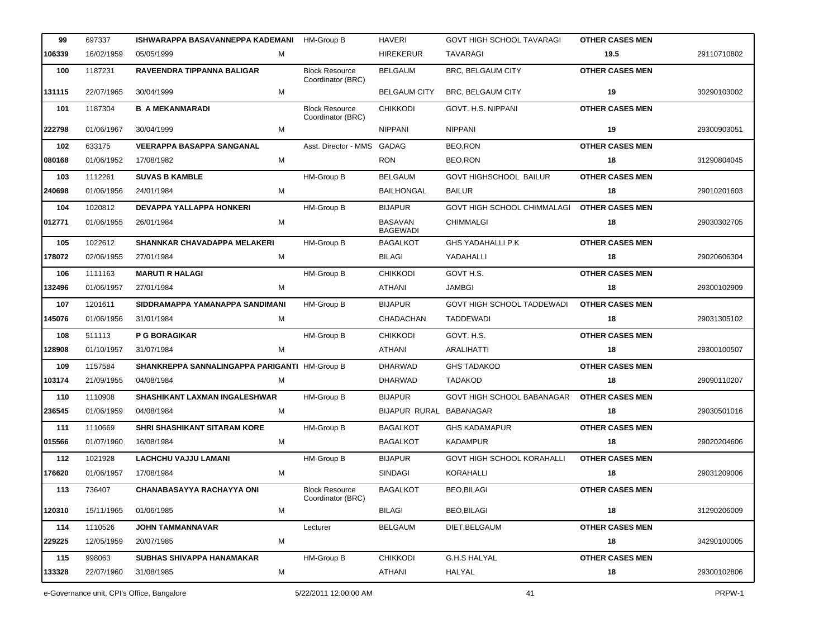| 99     | 697337     | ISHWARAPPA BASAVANNEPPA KADEMANI              | <b>HM-Group B</b>                          | <b>HAVERI</b>                     | <b>GOVT HIGH SCHOOL TAVARAGI</b>  | <b>OTHER CASES MEN</b> |             |
|--------|------------|-----------------------------------------------|--------------------------------------------|-----------------------------------|-----------------------------------|------------------------|-------------|
| 106339 | 16/02/1959 | 05/05/1999<br>м                               |                                            | <b>HIREKERUR</b>                  | <b>TAVARAGI</b>                   | 19.5                   | 29110710802 |
| 100    | 1187231    | RAVEENDRA TIPPANNA BALIGAR                    | <b>Block Resource</b><br>Coordinator (BRC) | <b>BELGAUM</b>                    | BRC, BELGAUM CITY                 | <b>OTHER CASES MEN</b> |             |
| 131115 | 22/07/1965 | М<br>30/04/1999                               |                                            | <b>BELGAUM CITY</b>               | <b>BRC, BELGAUM CITY</b>          | 19                     | 30290103002 |
| 101    | 1187304    | <b>B A MEKANMARADI</b>                        | <b>Block Resource</b><br>Coordinator (BRC) | <b>CHIKKODI</b>                   | GOVT. H.S. NIPPANI                | <b>OTHER CASES MEN</b> |             |
| 222798 | 01/06/1967 | 30/04/1999<br>м                               |                                            | <b>NIPPANI</b>                    | <b>NIPPANI</b>                    | 19                     | 29300903051 |
| 102    | 633175     | <b>VEERAPPA BASAPPA SANGANAL</b>              | Asst. Director - MMS                       | GADAG                             | BEO,RON                           | <b>OTHER CASES MEN</b> |             |
| 080168 | 01/06/1952 | 17/08/1982<br>м                               |                                            | <b>RON</b>                        | <b>BEO,RON</b>                    | 18                     | 31290804045 |
| 103    | 1112261    | <b>SUVAS B KAMBLE</b>                         | HM-Group B                                 | <b>BELGAUM</b>                    | GOVT HIGHSCHOOL BAILUR            | <b>OTHER CASES MEN</b> |             |
| 240698 | 01/06/1956 | 24/01/1984<br>м                               |                                            | BAILHONGAL                        | <b>BAILUR</b>                     | 18                     | 29010201603 |
| 104    | 1020812    | DEVAPPA YALLAPPA HONKERI                      | <b>HM-Group B</b>                          | <b>BIJAPUR</b>                    | GOVT HIGH SCHOOL CHIMMALAGI       | <b>OTHER CASES MEN</b> |             |
| 012771 | 01/06/1955 | м<br>26/01/1984                               |                                            | <b>BASAVAN</b><br><b>BAGEWADI</b> | <b>CHIMMALGI</b>                  | 18                     | 29030302705 |
| 105    | 1022612    | SHANNKAR CHAVADAPPA MELAKERI                  | HM-Group B                                 | <b>BAGALKOT</b>                   | <b>GHS YADAHALLI P.K</b>          | <b>OTHER CASES MEN</b> |             |
| 178072 | 02/06/1955 | 27/01/1984<br>м                               |                                            | <b>BILAGI</b>                     | YADAHALLI                         | 18                     | 29020606304 |
| 106    | 1111163    | <b>MARUTI R HALAGI</b>                        | HM-Group B                                 | <b>CHIKKODI</b>                   | GOVT H.S.                         | <b>OTHER CASES MEN</b> |             |
| 132496 | 01/06/1957 | 27/01/1984<br>м                               |                                            | ATHANI                            | JAMBGI                            | 18                     | 29300102909 |
| 107    | 1201611    | SIDDRAMAPPA YAMANAPPA SANDIMANI               | HM-Group B                                 | <b>BIJAPUR</b>                    | GOVT HIGH SCHOOL TADDEWADI        | <b>OTHER CASES MEN</b> |             |
| 145076 | 01/06/1956 | 31/01/1984<br>м                               |                                            | CHADACHAN                         | <b>TADDEWADI</b>                  | 18                     | 29031305102 |
| 108    | 511113     | <b>P G BORAGIKAR</b>                          | HM-Group B                                 | <b>CHIKKODI</b>                   | GOVT. H.S.                        | <b>OTHER CASES MEN</b> |             |
| 128908 | 01/10/1957 | M<br>31/07/1984                               |                                            | ATHANI                            | <b>ARALIHATTI</b>                 | 18                     | 29300100507 |
| 109    | 1157584    | SHANKREPPA SANNALINGAPPA PARIGANTI HM-Group B |                                            | <b>DHARWAD</b>                    | <b>GHS TADAKOD</b>                | <b>OTHER CASES MEN</b> |             |
| 103174 | 21/09/1955 | 04/08/1984<br>м                               |                                            | <b>DHARWAD</b>                    | <b>TADAKOD</b>                    | 18                     | 29090110207 |
| 110    | 1110908    | SHASHIKANT LAXMAN INGALESHWAR                 | HM-Group B                                 | <b>BIJAPUR</b>                    | GOVT HIGH SCHOOL BABANAGAR        | <b>OTHER CASES MEN</b> |             |
| 236545 | 01/06/1959 | 04/08/1984<br>м                               |                                            | BIJAPUR RURAL BABANAGAR           |                                   | 18                     | 29030501016 |
| 111    | 1110669    | <b>SHRI SHASHIKANT SITARAM KORE</b>           | HM-Group B                                 | <b>BAGALKOT</b>                   | <b>GHS KADAMAPUR</b>              | <b>OTHER CASES MEN</b> |             |
| 015566 | 01/07/1960 | 16/08/1984<br>м                               |                                            | <b>BAGALKOT</b>                   | <b>KADAMPUR</b>                   | 18                     | 29020204606 |
| 112    | 1021928    | <b>LACHCHU VAJJU LAMANI</b>                   | HM-Group B                                 | <b>BIJAPUR</b>                    | <b>GOVT HIGH SCHOOL KORAHALLI</b> | <b>OTHER CASES MEN</b> |             |
| 176620 | 01/06/1957 | м<br>17/08/1984                               |                                            | <b>SINDAGI</b>                    | <b>KORAHALLI</b>                  | 18                     | 29031209006 |
| 113    | 736407     | <b>CHANABASAYYA RACHAYYA ONI</b>              | <b>Block Resource</b><br>Coordinator (BRC) | <b>BAGALKOT</b>                   | <b>BEO,BILAGI</b>                 | <b>OTHER CASES MEN</b> |             |
| 120310 | 15/11/1965 | 01/06/1985<br>м                               |                                            | <b>BILAGI</b>                     | <b>BEO,BILAGI</b>                 | 18                     | 31290206009 |
| 114    | 1110526    | JOHN TAMMANNAVAR                              | Lecturer                                   | <b>BELGAUM</b>                    | DIET, BELGAUM                     | <b>OTHER CASES MEN</b> |             |
| 229225 | 12/05/1959 | м<br>20/07/1985                               |                                            |                                   |                                   | 18                     | 34290100005 |
| 115    | 998063     | SUBHAS SHIVAPPA HANAMAKAR                     | HM-Group B                                 | <b>CHIKKODI</b>                   | <b>G.H.S HALYAL</b>               | <b>OTHER CASES MEN</b> |             |
| 133328 | 22/07/1960 | 31/08/1985<br>М                               |                                            | ATHANI                            | HALYAL                            | 18                     | 29300102806 |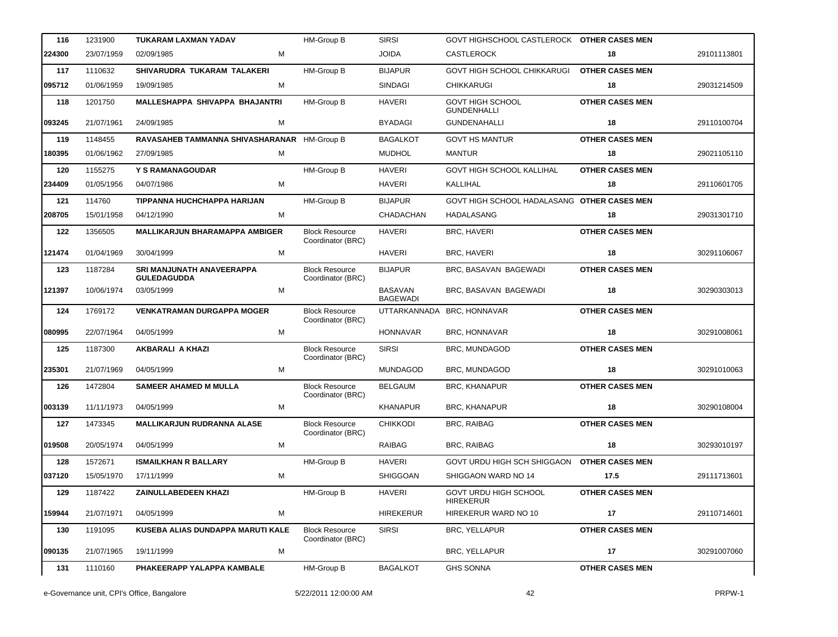| 116    | 1231900    | TUKARAM LAXMAN YADAV                            | HM-Group B                                 | <b>SIRSI</b>                      | GOVT HIGHSCHOOL CASTLEROCK OTHER CASES MEN       |                        |             |
|--------|------------|-------------------------------------------------|--------------------------------------------|-----------------------------------|--------------------------------------------------|------------------------|-------------|
| 224300 | 23/07/1959 | 02/09/1985<br>М                                 |                                            | <b>JOIDA</b>                      | <b>CASTLEROCK</b>                                | 18                     | 29101113801 |
| 117    | 1110632    | SHIVARUDRA TUKARAM TALAKERI                     | HM-Group B                                 | <b>BIJAPUR</b>                    | GOVT HIGH SCHOOL CHIKKARUGI                      | <b>OTHER CASES MEN</b> |             |
| 095712 | 01/06/1959 | 19/09/1985<br>М                                 |                                            | <b>SINDAGI</b>                    | <b>CHIKKARUGI</b>                                | 18                     | 29031214509 |
| 118    | 1201750    | MALLESHAPPA SHIVAPPA BHAJANTRI                  | <b>HM-Group B</b>                          | <b>HAVERI</b>                     | <b>GOVT HIGH SCHOOL</b><br><b>GUNDENHALLI</b>    | <b>OTHER CASES MEN</b> |             |
| 093245 | 21/07/1961 | М<br>24/09/1985                                 |                                            | <b>BYADAGI</b>                    | <b>GUNDENAHALLI</b>                              | 18                     | 29110100704 |
| 119    | 1148455    | RAVASAHEB TAMMANNA SHIVASHARANAR HM-Group B     |                                            | <b>BAGALKOT</b>                   | <b>GOVT HS MANTUR</b>                            | <b>OTHER CASES MEN</b> |             |
| 180395 | 01/06/1962 | М<br>27/09/1985                                 |                                            | <b>MUDHOL</b>                     | <b>MANTUR</b>                                    | 18                     | 29021105110 |
| 120    | 1155275    | Y S RAMANAGOUDAR                                | HM-Group B                                 | <b>HAVERI</b>                     | GOVT HIGH SCHOOL KALLIHAL                        | <b>OTHER CASES MEN</b> |             |
| 234409 | 01/05/1956 | 04/07/1986<br>М                                 |                                            | <b>HAVERI</b>                     | KALLIHAL                                         | 18                     | 29110601705 |
| 121    | 114760     | TIPPANNA HUCHCHAPPA HARIJAN                     | HM-Group B                                 | <b>BIJAPUR</b>                    | GOVT HIGH SCHOOL HADALASANG OTHER CASES MEN      |                        |             |
| 208705 | 15/01/1958 | М<br>04/12/1990                                 |                                            | CHADACHAN                         | HADALASANG                                       | 18                     | 29031301710 |
| 122    | 1356505    | <b>MALLIKARJUN BHARAMAPPA AMBIGER</b>           | <b>Block Resource</b><br>Coordinator (BRC) | <b>HAVERI</b>                     | <b>BRC, HAVERI</b>                               | <b>OTHER CASES MEN</b> |             |
| 121474 | 01/04/1969 | 30/04/1999<br>М                                 |                                            | <b>HAVERI</b>                     | BRC, HAVERI                                      | 18                     | 30291106067 |
| 123    | 1187284    | SRI MANJUNATH ANAVEERAPPA<br><b>GULEDAGUDDA</b> | <b>Block Resource</b><br>Coordinator (BRC) | <b>BIJAPUR</b>                    | BRC, BASAVAN BAGEWADI                            | <b>OTHER CASES MEN</b> |             |
| 121397 | 10/06/1974 | M<br>03/05/1999                                 |                                            | <b>BASAVAN</b><br><b>BAGEWADI</b> | BRC, BASAVAN BAGEWADI                            | 18                     | 30290303013 |
| 124    | 1769172    | <b>VENKATRAMAN DURGAPPA MOGER</b>               | <b>Block Resource</b><br>Coordinator (BRC) | UTTARKANNADA                      | BRC, HONNAVAR                                    | <b>OTHER CASES MEN</b> |             |
| 080995 | 22/07/1964 | М<br>04/05/1999                                 |                                            | <b>HONNAVAR</b>                   | BRC, HONNAVAR                                    | 18                     | 30291008061 |
| 125    | 1187300    | <b>AKBARALI A KHAZI</b>                         | <b>Block Resource</b><br>Coordinator (BRC) | <b>SIRSI</b>                      | BRC, MUNDAGOD                                    | <b>OTHER CASES MEN</b> |             |
| 235301 | 21/07/1969 | 04/05/1999<br>М                                 |                                            | <b>MUNDAGOD</b>                   | BRC, MUNDAGOD                                    | 18                     | 30291010063 |
| 126    | 1472804    | <b>SAMEER AHAMED M MULLA</b>                    | <b>Block Resource</b><br>Coordinator (BRC) | <b>BELGAUM</b>                    | <b>BRC, KHANAPUR</b>                             | <b>OTHER CASES MEN</b> |             |
| 003139 | 11/11/1973 | 04/05/1999<br>М                                 |                                            | <b>KHANAPUR</b>                   | <b>BRC, KHANAPUR</b>                             | 18                     | 30290108004 |
| 127    | 1473345    | <b>MALLIKARJUN RUDRANNA ALASE</b>               | <b>Block Resource</b><br>Coordinator (BRC) | <b>CHIKKODI</b>                   | <b>BRC, RAIBAG</b>                               | <b>OTHER CASES MEN</b> |             |
| 019508 | 20/05/1974 | М<br>04/05/1999                                 |                                            | <b>RAIBAG</b>                     | <b>BRC, RAIBAG</b>                               | 18                     | 30293010197 |
| 128    | 1572671    | <b>ISMAILKHAN R BALLARY</b>                     | HM-Group B                                 | HAVERI                            | GOVT URDU HIGH SCH SHIGGAON OTHER CASES MEN      |                        |             |
| 037120 | 15/05/1970 | 17/11/1999<br>М                                 |                                            | <b>SHIGGOAN</b>                   | SHIGGAON WARD NO 14                              | 17.5                   | 29111713601 |
| 129    | 1187422    | <b>ZAINULLABEDEEN KHAZI</b>                     | HM-Group B                                 | <b>HAVERI</b>                     | <b>GOVT URDU HIGH SCHOOL</b><br><b>HIREKERUR</b> | <b>OTHER CASES MEN</b> |             |
| 159944 | 21/07/1971 | M<br>04/05/1999                                 |                                            | <b>HIREKERUR</b>                  | HIREKERUR WARD NO 10                             | 17                     | 29110714601 |
| 130    | 1191095    | KUSEBA ALIAS DUNDAPPA MARUTI KALE               | <b>Block Resource</b><br>Coordinator (BRC) | <b>SIRSI</b>                      | <b>BRC, YELLAPUR</b>                             | <b>OTHER CASES MEN</b> |             |
| 090135 | 21/07/1965 | 19/11/1999<br>М                                 |                                            |                                   | BRC, YELLAPUR                                    | 17                     | 30291007060 |
| 131    | 1110160    | PHAKEERAPP YALAPPA KAMBALE                      | HM-Group B                                 | <b>BAGALKOT</b>                   | <b>GHS SONNA</b>                                 | <b>OTHER CASES MEN</b> |             |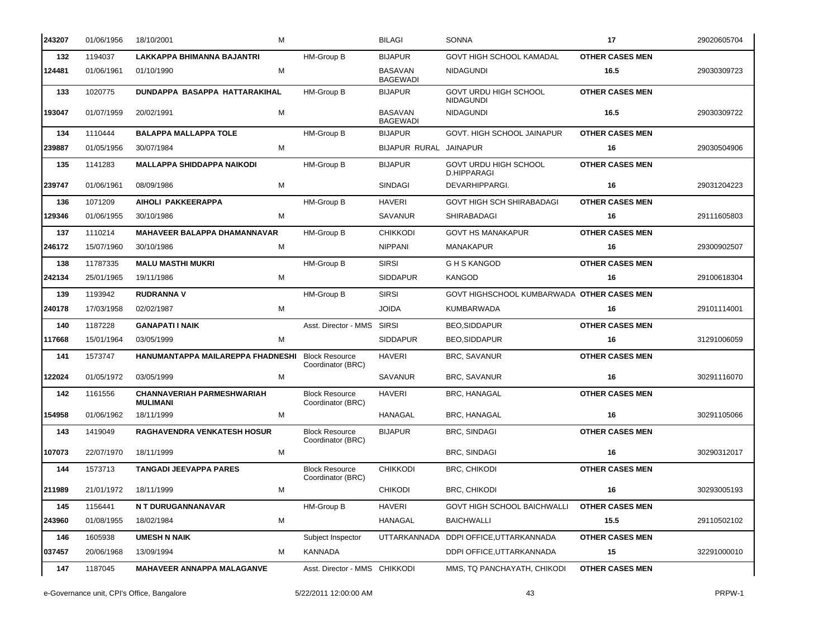| 243207 | 01/06/1956 | 18/10/2001<br>м                                      |                                            | <b>BILAGI</b>                     | <b>SONNA</b>                                     | 17                     | 29020605704 |
|--------|------------|------------------------------------------------------|--------------------------------------------|-----------------------------------|--------------------------------------------------|------------------------|-------------|
| 132    | 1194037    | LAKKAPPA BHIMANNA BAJANTRI                           | HM-Group B                                 | <b>BIJAPUR</b>                    | <b>GOVT HIGH SCHOOL KAMADAL</b>                  | <b>OTHER CASES MEN</b> |             |
| 124481 | 01/06/1961 | M<br>01/10/1990                                      |                                            | <b>BASAVAN</b><br><b>BAGEWADI</b> | <b>NIDAGUNDI</b>                                 | 16.5                   | 29030309723 |
| 133    | 1020775    | DUNDAPPA BASAPPA HATTARAKIHAL                        | HM-Group B                                 | <b>BIJAPUR</b>                    | <b>GOVT URDU HIGH SCHOOL</b><br><b>NIDAGUNDI</b> | <b>OTHER CASES MEN</b> |             |
| 193047 | 01/07/1959 | 20/02/1991<br>м                                      |                                            | <b>BASAVAN</b><br><b>BAGEWADI</b> | <b>NIDAGUNDI</b>                                 | 16.5                   | 29030309722 |
| 134    | 1110444    | <b>BALAPPA MALLAPPA TOLE</b>                         | HM-Group B                                 | <b>BIJAPUR</b>                    | GOVT. HIGH SCHOOL JAINAPUR                       | <b>OTHER CASES MEN</b> |             |
| 239887 | 01/05/1956 | 30/07/1984<br>М                                      |                                            | BIJAPUR RURAL JAINAPUR            |                                                  | 16                     | 29030504906 |
| 135    | 1141283    | <b>MALLAPPA SHIDDAPPA NAIKODI</b>                    | HM-Group B                                 | <b>BIJAPUR</b>                    | <b>GOVT URDU HIGH SCHOOL</b><br>D.HIPPARAGI      | <b>OTHER CASES MEN</b> |             |
| 239747 | 01/06/1961 | 08/09/1986<br>м                                      |                                            | <b>SINDAGI</b>                    | DEVARHIPPARGI.                                   | 16                     | 29031204223 |
| 136    | 1071209    | AIHOLI PAKKEERAPPA                                   | HM-Group B                                 | <b>HAVERI</b>                     | <b>GOVT HIGH SCH SHIRABADAGI</b>                 | <b>OTHER CASES MEN</b> |             |
| 129346 | 01/06/1955 | 30/10/1986<br>м                                      |                                            | <b>SAVANUR</b>                    | SHIRABADAGI                                      | 16                     | 29111605803 |
| 137    | 1110214    | <b>MAHAVEER BALAPPA DHAMANNAVAR</b>                  | HM-Group B                                 | <b>CHIKKODI</b>                   | <b>GOVT HS MANAKAPUR</b>                         | <b>OTHER CASES MEN</b> |             |
| 246172 | 15/07/1960 | 30/10/1986<br>м                                      |                                            | <b>NIPPANI</b>                    | MANAKAPUR                                        | 16                     | 29300902507 |
| 138    | 11787335   | <b>MALU MASTHI MUKRI</b>                             | HM-Group B                                 | <b>SIRSI</b>                      | <b>GHS KANGOD</b>                                | <b>OTHER CASES MEN</b> |             |
| 242134 | 25/01/1965 | м<br>19/11/1986                                      |                                            | <b>SIDDAPUR</b>                   | <b>KANGOD</b>                                    | 16                     | 29100618304 |
| 139    | 1193942    | <b>RUDRANNA V</b>                                    | HM-Group B                                 | <b>SIRSI</b>                      | GOVT HIGHSCHOOL KUMBARWADA OTHER CASES MEN       |                        |             |
| 240178 | 17/03/1958 | 02/02/1987<br>м                                      |                                            | <b>JOIDA</b>                      | <b>KUMBARWADA</b>                                | 16                     | 29101114001 |
| 140    | 1187228    | <b>GANAPATI I NAIK</b>                               | Asst. Director - MMS SIRSI                 |                                   | <b>BEO,SIDDAPUR</b>                              | <b>OTHER CASES MEN</b> |             |
| 117668 | 15/01/1964 | 03/05/1999<br>м                                      |                                            | <b>SIDDAPUR</b>                   | <b>BEO,SIDDAPUR</b>                              | 16                     | 31291006059 |
| 141    | 1573747    | HANUMANTAPPA MAILAREPPA FHADNESHI                    | <b>Block Resource</b><br>Coordinator (BRC) | <b>HAVERI</b>                     | <b>BRC, SAVANUR</b>                              | <b>OTHER CASES MEN</b> |             |
| 122024 | 01/05/1972 | М<br>03/05/1999                                      |                                            | <b>SAVANUR</b>                    | BRC, SAVANUR                                     | 16                     | 30291116070 |
| 142    | 1161556    | <b>CHANNAVERIAH PARMESHWARIAH</b><br><b>MULIMANI</b> | <b>Block Resource</b><br>Coordinator (BRC) | <b>HAVERI</b>                     | BRC, HANAGAL                                     | <b>OTHER CASES MEN</b> |             |
| 154958 | 01/06/1962 | 18/11/1999<br>м                                      |                                            | HANAGAL                           | <b>BRC, HANAGAL</b>                              | 16                     | 30291105066 |
| 143    | 1419049    | <b>RAGHAVENDRA VENKATESH HOSUR</b>                   | <b>Block Resource</b><br>Coordinator (BRC) | <b>BIJAPUR</b>                    | <b>BRC, SINDAGI</b>                              | <b>OTHER CASES MEN</b> |             |
| 107073 | 22/07/1970 | 18/11/1999<br>М                                      |                                            |                                   | BRC, SINDAGI                                     | 16                     | 30290312017 |
| 144    | 1573713    | <b>TANGADI JEEVAPPA PARES</b>                        | <b>Block Resource</b><br>Coordinator (BRC) | <b>CHIKKODI</b>                   | <b>BRC, CHIKODI</b>                              | <b>OTHER CASES MEN</b> |             |
| 211989 | 21/01/1972 | 18/11/1999<br>м                                      |                                            | <b>CHIKODI</b>                    | <b>BRC, CHIKODI</b>                              | 16                     | 30293005193 |
| 145    | 1156441    | N T DURUGANNANAVAR                                   | HM-Group B                                 | <b>HAVERI</b>                     | <b>GOVT HIGH SCHOOL BAICHWALLI</b>               | <b>OTHER CASES MEN</b> |             |
| 243960 | 01/08/1955 | м<br>18/02/1984                                      |                                            | HANAGAL                           | <b>BAICHWALLI</b>                                | 15.5                   | 29110502102 |
| 146    | 1605938    | <b>UMESH N NAIK</b>                                  | Subject Inspector                          | UTTARKANNADA                      | DDPI OFFICE, UTTARKANNADA                        | <b>OTHER CASES MEN</b> |             |
| 037457 | 20/06/1968 | 13/09/1994<br>м                                      | KANNADA                                    |                                   | DDPI OFFICE, UTTARKANNADA                        | 15                     | 32291000010 |
| 147    | 1187045    | <b>MAHAVEER ANNAPPA MALAGANVE</b>                    | Asst. Director - MMS CHIKKODI              |                                   | MMS, TQ PANCHAYATH, CHIKODI                      | <b>OTHER CASES MEN</b> |             |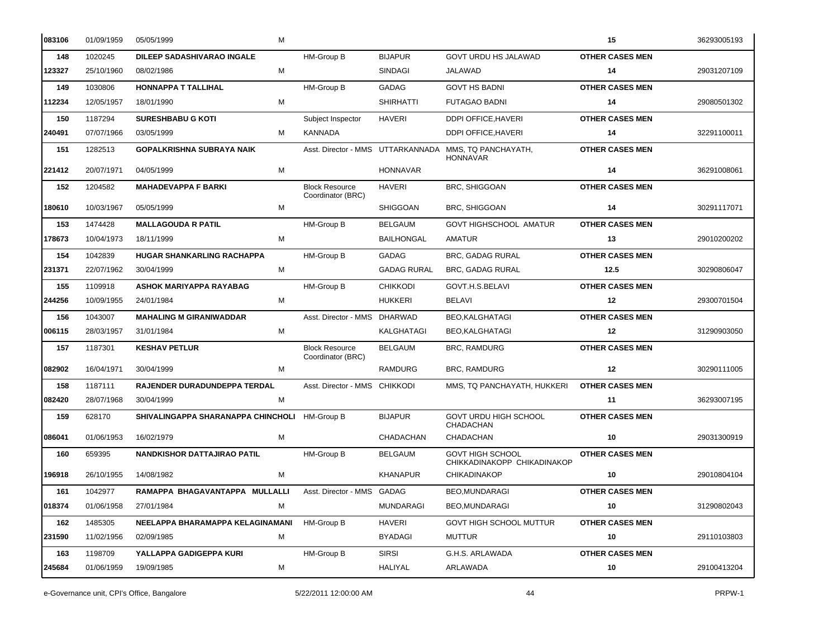| 083106 | 01/09/1959 | M<br>05/05/1999                    |                                            |                    |                                                                          | 15                     | 36293005193 |
|--------|------------|------------------------------------|--------------------------------------------|--------------------|--------------------------------------------------------------------------|------------------------|-------------|
| 148    | 1020245    | <b>DILEEP SADASHIVARAO INGALE</b>  | HM-Group B                                 | <b>BIJAPUR</b>     | <b>GOVT URDU HS JALAWAD</b>                                              | <b>OTHER CASES MEN</b> |             |
| 123327 | 25/10/1960 | М<br>08/02/1986                    |                                            | <b>SINDAGI</b>     | JALAWAD                                                                  | 14                     | 29031207109 |
| 149    | 1030806    | <b>HONNAPPA T TALLIHAL</b>         | HM-Group B                                 | <b>GADAG</b>       | <b>GOVT HS BADNI</b>                                                     | <b>OTHER CASES MEN</b> |             |
| 112234 | 12/05/1957 | 18/01/1990<br>м                    |                                            | <b>SHIRHATTI</b>   | <b>FUTAGAO BADNI</b>                                                     | 14                     | 29080501302 |
| 150    | 1187294    | <b>SURESHBABU G KOTI</b>           | Subject Inspector                          | <b>HAVERI</b>      | DDPI OFFICE, HAVERI                                                      | <b>OTHER CASES MEN</b> |             |
| 240491 | 07/07/1966 | 03/05/1999<br>м                    | <b>KANNADA</b>                             |                    | DDPI OFFICE, HAVERI                                                      | 14                     | 32291100011 |
| 151    | 1282513    | <b>GOPALKRISHNA SUBRAYA NAIK</b>   |                                            |                    | Asst. Director - MMS UTTARKANNADA MMS, TQ PANCHAYATH,<br><b>HONNAVAR</b> | <b>OTHER CASES MEN</b> |             |
| 221412 | 20/07/1971 | 04/05/1999<br>М                    |                                            | <b>HONNAVAR</b>    |                                                                          | 14                     | 36291008061 |
| 152    | 1204582    | <b>MAHADEVAPPA F BARKI</b>         | <b>Block Resource</b><br>Coordinator (BRC) | <b>HAVERI</b>      | <b>BRC, SHIGGOAN</b>                                                     | <b>OTHER CASES MEN</b> |             |
| 180610 | 10/03/1967 | 05/05/1999<br>м                    |                                            | <b>SHIGGOAN</b>    | <b>BRC, SHIGGOAN</b>                                                     | 14                     | 30291117071 |
| 153    | 1474428    | <b>MALLAGOUDA R PATIL</b>          | HM-Group B                                 | <b>BELGAUM</b>     | <b>GOVT HIGHSCHOOL AMATUR</b>                                            | <b>OTHER CASES MEN</b> |             |
| 178673 | 10/04/1973 | M<br>18/11/1999                    |                                            | <b>BAILHONGAL</b>  | AMATUR                                                                   | 13                     | 29010200202 |
| 154    | 1042839    | <b>HUGAR SHANKARLING RACHAPPA</b>  | HM-Group B                                 | GADAG              | <b>BRC, GADAG RURAL</b>                                                  | <b>OTHER CASES MEN</b> |             |
| 231371 | 22/07/1962 | 30/04/1999<br>м                    |                                            | <b>GADAG RURAL</b> | <b>BRC, GADAG RURAL</b>                                                  | 12.5                   | 30290806047 |
| 155    | 1109918    | <b>ASHOK MARIYAPPA RAYABAG</b>     | HM-Group B                                 | <b>CHIKKODI</b>    | GOVT.H.S.BELAVI                                                          | <b>OTHER CASES MEN</b> |             |
| 244256 | 10/09/1955 | 24/01/1984<br>м                    |                                            | HUKKERI            | BELAVI                                                                   | 12                     | 29300701504 |
| 156    | 1043007    | <b>MAHALING M GIRANIWADDAR</b>     | Asst. Director - MMS DHARWAD               |                    | <b>BEO,KALGHATAGI</b>                                                    | <b>OTHER CASES MEN</b> |             |
| 006115 | 28/03/1957 | 31/01/1984<br>м                    |                                            | KALGHATAGI         | BEO, KALGHATAGI                                                          | 12                     | 31290903050 |
| 157    | 1187301    | <b>KESHAV PETLUR</b>               | <b>Block Resource</b><br>Coordinator (BRC) | <b>BELGAUM</b>     | <b>BRC, RAMDURG</b>                                                      | <b>OTHER CASES MEN</b> |             |
| 082902 | 16/04/1971 | 30/04/1999<br>м                    |                                            | RAMDURG            | <b>BRC, RAMDURG</b>                                                      | $12 \,$                | 30290111005 |
| 158    | 1187111    | RAJENDER DURADUNDEPPA TERDAL       | Asst. Director - MMS CHIKKODI              |                    | MMS, TQ PANCHAYATH, HUKKERI                                              | <b>OTHER CASES MEN</b> |             |
| 082420 | 28/07/1968 | м<br>30/04/1999                    |                                            |                    |                                                                          | 11                     | 36293007195 |
| 159    | 628170     | SHIVALINGAPPA SHARANAPPA CHINCHOLI | HM-Group B                                 | <b>BIJAPUR</b>     | GOVT URDU HIGH SCHOOL<br>CHADACHAN                                       | <b>OTHER CASES MEN</b> |             |
| 086041 | 01/06/1953 | 16/02/1979<br>м                    |                                            | CHADACHAN          | CHADACHAN                                                                | 10                     | 29031300919 |
| 160    | 659395     | NANDKISHOR DATTAJIRAO PATIL        | HM-Group B                                 | <b>BELGAUM</b>     | <b>GOVT HIGH SCHOOL</b><br>CHIKKADINAKOPP CHIKADINAKOP                   | <b>OTHER CASES MEN</b> |             |
| 196918 | 26/10/1955 | 14/08/1982<br>M                    |                                            | <b>KHANAPUR</b>    | <b>CHIKADINAKOP</b>                                                      | 10                     | 29010804104 |
| 161    | 1042977    | RAMAPPA BHAGAVANTAPPA MULLALLI     | Asst. Director - MMS GADAG                 |                    | <b>BEO,MUNDARAGI</b>                                                     | <b>OTHER CASES MEN</b> |             |
| 018374 | 01/06/1958 | M<br>27/01/1984                    |                                            | MUNDARAGI          | BEO, MUNDARAGI                                                           | 10                     | 31290802043 |
| 162    | 1485305    | NEELAPPA BHARAMAPPA KELAGINAMANI   | HM-Group B                                 | HAVERI             | GOVT HIGH SCHOOL MUTTUR                                                  | <b>OTHER CASES MEN</b> |             |
| 231590 | 11/02/1956 | 02/09/1985<br>M                    |                                            | <b>BYADAGI</b>     | MUTTUR                                                                   | 10                     | 29110103803 |
| 163    | 1198709    | YALLAPPA GADIGEPPA KURI            | HM-Group B                                 | <b>SIRSI</b>       | G.H.S. ARLAWADA                                                          | <b>OTHER CASES MEN</b> |             |
| 245684 | 01/06/1959 | M<br>19/09/1985                    |                                            | HALIYAL            | ARLAWADA                                                                 | 10                     | 29100413204 |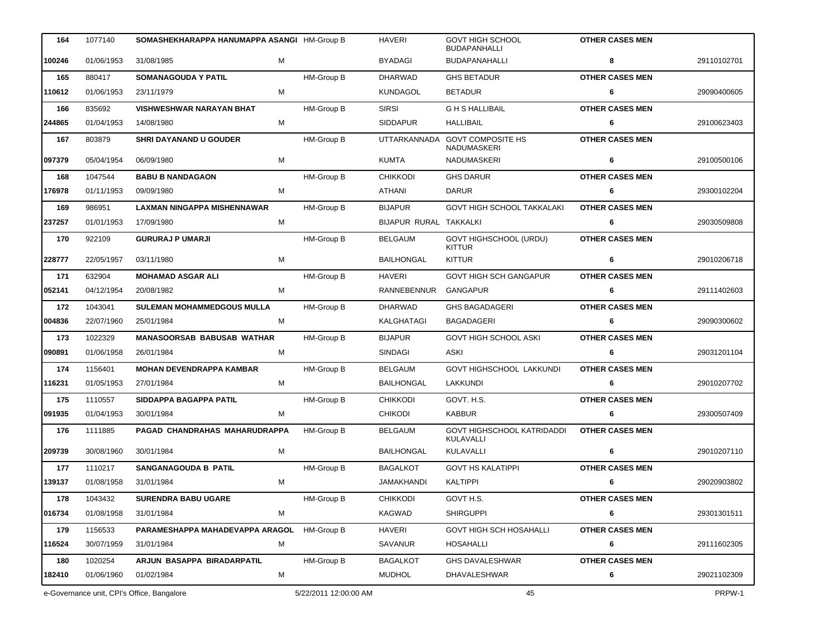| 164    | 1077140    | SOMASHEKHARAPPA HANUMAPPA ASANGI HM-Group B |                       | <b>HAVERI</b>          | <b>GOVT HIGH SCHOOL</b><br><b>BUDAPANHALLI</b>       | <b>OTHER CASES MEN</b> |             |
|--------|------------|---------------------------------------------|-----------------------|------------------------|------------------------------------------------------|------------------------|-------------|
| 100246 | 01/06/1953 | 31/08/1985<br>м                             |                       | <b>BYADAGI</b>         | <b>BUDAPANAHALLI</b>                                 | 8                      | 29110102701 |
| 165    | 880417     | <b>SOMANAGOUDA Y PATIL</b>                  | <b>HM-Group B</b>     | <b>DHARWAD</b>         | <b>GHS BETADUR</b>                                   | <b>OTHER CASES MEN</b> |             |
| 110612 | 01/06/1953 | М<br>23/11/1979                             |                       | <b>KUNDAGOL</b>        | <b>BETADUR</b>                                       | 6                      | 29090400605 |
| 166    | 835692     | <b>VISHWESHWAR NARAYAN BHAT</b>             | HM-Group B            | <b>SIRSI</b>           | <b>GHS HALLIBAIL</b>                                 | <b>OTHER CASES MEN</b> |             |
| 244865 | 01/04/1953 | 14/08/1980<br>М                             |                       | <b>SIDDAPUR</b>        | HALLIBAIL                                            | 6                      | 29100623403 |
| 167    | 803879     | <b>SHRI DAYANAND U GOUDER</b>               | <b>HM-Group B</b>     |                        | UTTARKANNADA GOVT COMPOSITE HS<br><b>NADUMASKERI</b> | <b>OTHER CASES MEN</b> |             |
| 097379 | 05/04/1954 | М<br>06/09/1980                             |                       | KUMTA                  | <b>NADUMASKERI</b>                                   | 6                      | 29100500106 |
| 168    | 1047544    | <b>BABU B NANDAGAON</b>                     | <b>HM-Group B</b>     | <b>CHIKKODI</b>        | <b>GHS DARUR</b>                                     | <b>OTHER CASES MEN</b> |             |
| 176978 | 01/11/1953 | 09/09/1980<br>М                             |                       | ATHANI                 | <b>DARUR</b>                                         | 6                      | 29300102204 |
| 169    | 986951     | LAXMAN NINGAPPA MISHENNAWAR                 | HM-Group B            | <b>BIJAPUR</b>         | <b>GOVT HIGH SCHOOL TAKKALAKI</b>                    | <b>OTHER CASES MEN</b> |             |
| 237257 | 01/01/1953 | 17/09/1980<br>М                             |                       | BIJAPUR RURAL TAKKALKI |                                                      | 6                      | 29030509808 |
| 170    | 922109     | <b>GURURAJ P UMARJI</b>                     | HM-Group B            | <b>BELGAUM</b>         | GOVT HIGHSCHOOL (URDU)<br><b>KITTUR</b>              | <b>OTHER CASES MEN</b> |             |
| 228777 | 22/05/1957 | M<br>03/11/1980                             |                       | <b>BAILHONGAL</b>      | <b>KITTUR</b>                                        | 6                      | 29010206718 |
| 171    | 632904     | <b>MOHAMAD ASGAR ALI</b>                    | HM-Group B            | <b>HAVERI</b>          | <b>GOVT HIGH SCH GANGAPUR</b>                        | <b>OTHER CASES MEN</b> |             |
| 052141 | 04/12/1954 | 20/08/1982<br>М                             |                       | RANNEBENNUR            | GANGAPUR                                             | 6                      | 29111402603 |
| 172    | 1043041    | <b>SULEMAN MOHAMMEDGOUS MULLA</b>           | HM-Group B            | <b>DHARWAD</b>         | <b>GHS BAGADAGERI</b>                                | <b>OTHER CASES MEN</b> |             |
| 004836 | 22/07/1960 | м<br>25/01/1984                             |                       | KALGHATAGI             | BAGADAGERI                                           | 6                      | 29090300602 |
| 173    | 1022329    | <b>MANASOORSAB BABUSAB WATHAR</b>           | HM-Group B            | <b>BIJAPUR</b>         | <b>GOVT HIGH SCHOOL ASKI</b>                         | <b>OTHER CASES MEN</b> |             |
| 090891 | 01/06/1958 | 26/01/1984<br>M                             |                       | SINDAGI                | ASKI                                                 | 6                      | 29031201104 |
| 174    | 1156401    | <b>MOHAN DEVENDRAPPA KAMBAR</b>             | HM-Group B            | BELGAUM                | <b>GOVT HIGHSCHOOL LAKKUNDI</b>                      | <b>OTHER CASES MEN</b> |             |
| 116231 | 01/05/1953 | 27/01/1984<br>м                             |                       | <b>BAILHONGAL</b>      | LAKKUNDI                                             | 6                      | 29010207702 |
| 175    | 1110557    | SIDDAPPA BAGAPPA PATIL                      | HM-Group B            | <b>CHIKKODI</b>        | GOVT. H.S.                                           | <b>OTHER CASES MEN</b> |             |
| 091935 | 01/04/1953 | 30/01/1984<br>M                             |                       | <b>CHIKODI</b>         | <b>KABBUR</b>                                        | 6                      | 29300507409 |
| 176    | 1111885    | PAGAD CHANDRAHAS MAHARUDRAPPA               | <b>HM-Group B</b>     | <b>BELGAUM</b>         | GOVT HIGHSCHOOL KATRIDADDI<br>KULAVALLI              | <b>OTHER CASES MEN</b> |             |
| 209739 | 30/08/1960 | 30/01/1984<br>M                             |                       | <b>BAILHONGAL</b>      | KULAVALLI                                            |                        | 29010207110 |
| 177    | 1110217    | <b>SANGANAGOUDA B PATIL</b>                 | HM-Group B            | <b>BAGALKOT</b>        | <b>GOVT HS KALATIPPI</b>                             | <b>OTHER CASES MEN</b> |             |
| 139137 | 01/08/1958 | М<br>31/01/1984                             |                       | JAMAKHANDI             | KALTIPPI                                             | 6                      | 29020903802 |
| 178    | 1043432    | <b>SURENDRA BABU UGARE</b>                  | HM-Group B            | <b>CHIKKODI</b>        | GOVT H.S.                                            | <b>OTHER CASES MEN</b> |             |
| 016734 | 01/08/1958 | 31/01/1984<br>М                             |                       | KAGWAD                 | <b>SHIRGUPPI</b>                                     | 6                      | 29301301511 |
| 179    | 1156533    | PARAMESHAPPA MAHADEVAPPA ARAGOL             | HM-Group B            | HAVERI                 | <b>GOVT HIGH SCH HOSAHALLI</b>                       | <b>OTHER CASES MEN</b> |             |
| 116524 | 30/07/1959 | 31/01/1984<br>M                             |                       | SAVANUR                | HOSAHALLI                                            | 6                      | 29111602305 |
| 180    | 1020254    | ARJUN BASAPPA BIRADARPATIL                  | HM-Group B            | <b>BAGALKOT</b>        | GHS DAVALESHWAR                                      | <b>OTHER CASES MEN</b> |             |
| 182410 | 01/06/1960 | 01/02/1984<br>М                             |                       | <b>MUDHOL</b>          | <b>DHAVALESHWAR</b>                                  | 6                      | 29021102309 |
|        |            | e-Governance unit, CPI's Office, Bangalore  | 5/22/2011 12:00:00 AM |                        | 45                                                   |                        | PRPW-1      |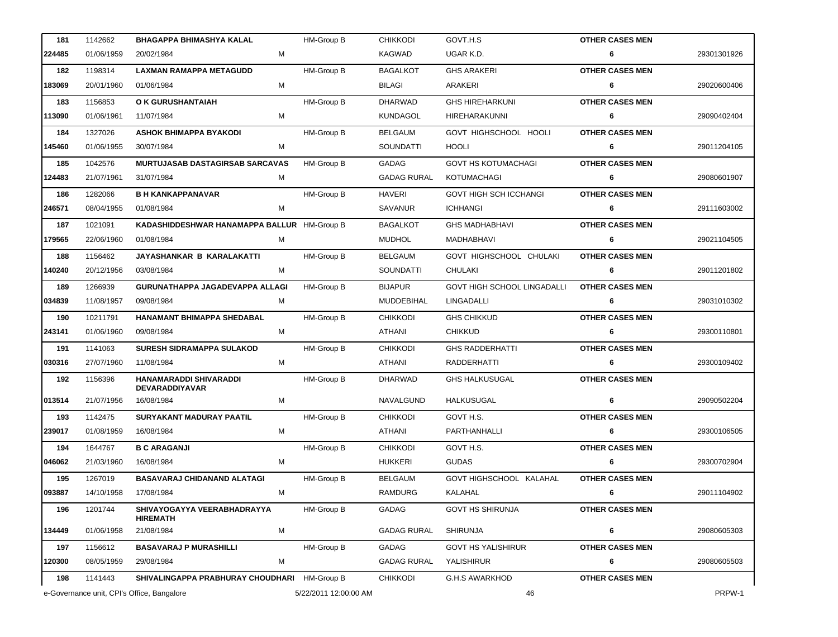| 181    | 1142662    | <b>BHAGAPPA BHIMASHYA KALAL</b>                 | <b>HM-Group B</b>     | <b>CHIKKODI</b>    | GOVT.H.S                    | <b>OTHER CASES MEN</b> |             |
|--------|------------|-------------------------------------------------|-----------------------|--------------------|-----------------------------|------------------------|-------------|
| 224485 | 01/06/1959 | 20/02/1984<br>M                                 |                       | KAGWAD             | UGAR K.D.                   | 6                      | 29301301926 |
| 182    | 1198314    | LAXMAN RAMAPPA METAGUDD                         | HM-Group B            | <b>BAGALKOT</b>    | <b>GHS ARAKERI</b>          | <b>OTHER CASES MEN</b> |             |
| 183069 | 20/01/1960 | 01/06/1984<br>M                                 |                       | BILAGI             | ARAKERI                     | 6                      | 29020600406 |
| 183    | 1156853    | O K GURUSHANTAIAH                               | HM-Group B            | <b>DHARWAD</b>     | <b>GHS HIREHARKUNI</b>      | <b>OTHER CASES MEN</b> |             |
| 113090 | 01/06/1961 | 11/07/1984<br>М                                 |                       | KUNDAGOL           | HIREHARAKUNNI               | 6                      | 29090402404 |
| 184    | 1327026    | <b>ASHOK BHIMAPPA BYAKODI</b>                   | <b>HM-Group B</b>     | <b>BELGAUM</b>     | GOVT HIGHSCHOOL HOOLI       | <b>OTHER CASES MEN</b> |             |
| 145460 | 01/06/1955 | 30/07/1984<br>M                                 |                       | SOUNDATTI          | HOOLI                       | 6                      | 29011204105 |
| 185    | 1042576    | <b>MURTUJASAB DASTAGIRSAB SARCAVAS</b>          | <b>HM-Group B</b>     | GADAG              | <b>GOVT HS KOTUMACHAGI</b>  | <b>OTHER CASES MEN</b> |             |
| 124483 | 21/07/1961 | 31/07/1984<br>M                                 |                       | <b>GADAG RURAL</b> | KOTUMACHAGI                 | 6                      | 29080601907 |
| 186    | 1282066    | <b>B H KANKAPPANAVAR</b>                        | <b>HM-Group B</b>     | <b>HAVERI</b>      | GOVT HIGH SCH ICCHANGI      | <b>OTHER CASES MEN</b> |             |
| 246571 | 08/04/1955 | 01/08/1984<br>M                                 |                       | SAVANUR            | <b>ICHHANGI</b>             | 6                      | 29111603002 |
| 187    | 1021091    | KADASHIDDESHWAR HANAMAPPA BALLUR HM-Group B     |                       | <b>BAGALKOT</b>    | <b>GHS MADHABHAVI</b>       | <b>OTHER CASES MEN</b> |             |
| 179565 | 22/06/1960 | 01/08/1984<br>M                                 |                       | <b>MUDHOL</b>      | MADHABHAVI                  | 6                      | 29021104505 |
| 188    | 1156462    | JAYASHANKAR B KARALAKATTI                       | <b>HM-Group B</b>     | <b>BELGAUM</b>     | GOVT HIGHSCHOOL CHULAKI     | <b>OTHER CASES MEN</b> |             |
| 140240 | 20/12/1956 | 03/08/1984<br>M                                 |                       | SOUNDATTI          | CHULAKI                     | 6                      | 29011201802 |
| 189    | 1266939    | GURUNATHAPPA JAGADEVAPPA ALLAGI                 | <b>HM-Group B</b>     | <b>BIJAPUR</b>     | GOVT HIGH SCHOOL LINGADALLI | <b>OTHER CASES MEN</b> |             |
| 034839 | 11/08/1957 | 09/08/1984<br>М                                 |                       | MUDDEBIHAL         | LINGADALLI                  | 6                      | 29031010302 |
| 190    | 10211791   | HANAMANT BHIMAPPA SHEDABAL                      | <b>HM-Group B</b>     | <b>CHIKKODI</b>    | <b>GHS CHIKKUD</b>          | <b>OTHER CASES MEN</b> |             |
| 243141 | 01/06/1960 | 09/08/1984<br>M                                 |                       | ATHANI             | <b>CHIKKUD</b>              | 6                      | 29300110801 |
| 191    | 1141063    | <b>SURESH SIDRAMAPPA SULAKOD</b>                | <b>HM-Group B</b>     | <b>CHIKKODI</b>    | <b>GHS RADDERHATTI</b>      | <b>OTHER CASES MEN</b> |             |
| 030316 | 27/07/1960 | 11/08/1984<br>M                                 |                       | ATHANI             | RADDERHATTI                 | 6                      | 29300109402 |
| 192    | 1156396    | HANAMARADDI SHIVARADDI<br><b>DEVARADDIYAVAR</b> | HM-Group B            | DHARWAD            | <b>GHS HALKUSUGAL</b>       | <b>OTHER CASES MEN</b> |             |
| 013514 | 21/07/1956 | м<br>16/08/1984                                 |                       | <b>NAVALGUND</b>   | HALKUSUGAL                  | 6                      | 29090502204 |
| 193    | 1142475    | <b>SURYAKANT MADURAY PAATIL</b>                 | HM-Group B            | <b>CHIKKODI</b>    | GOVT H.S.                   | <b>OTHER CASES MEN</b> |             |
| 239017 | 01/08/1959 | 16/08/1984<br>M                                 |                       | ATHANI             | PARTHANHALLI                | 6                      | 29300106505 |
| 194    | 1644767    | <b>B C ARAGANJI</b>                             | HM-Group B            | <b>CHIKKODI</b>    | GOVT H.S.                   | <b>OTHER CASES MEN</b> |             |
| 046062 | 21/03/1960 | 16/08/1984<br>М                                 |                       | <b>HUKKERI</b>     | <b>GUDAS</b>                | 6                      | 29300702904 |
| 195    | 1267019    | <b>BASAVARAJ CHIDANAND ALATAGI</b>              | HM-Group B            | <b>BELGAUM</b>     | GOVT HIGHSCHOOL KALAHAL     | <b>OTHER CASES MEN</b> |             |
| 093887 | 14/10/1958 | 17/08/1984<br>M                                 |                       | RAMDURG            | KALAHAL                     | 6                      | 29011104902 |
| 196    | 1201744    | SHIVAYOGAYYA VEERABHADRAYYA<br><b>HIREMATH</b>  | HM-Group B            | GADAG              | <b>GOVT HS SHIRUNJA</b>     | <b>OTHER CASES MEN</b> |             |
| 134449 | 01/06/1958 | 21/08/1984<br>м                                 |                       | <b>GADAG RURAL</b> | <b>SHIRUNJA</b>             | 6                      | 29080605303 |
| 197    | 1156612    | <b>BASAVARAJ P MURASHILLI</b>                   | HM-Group B            | GADAG              | <b>GOVT HS YALISHIRUR</b>   | <b>OTHER CASES MEN</b> |             |
| 120300 | 08/05/1959 | м<br>29/08/1984                                 |                       | <b>GADAG RURAL</b> | YALISHIRUR                  | 6                      | 29080605503 |
| 198    | 1141443    | SHIVALINGAPPA PRABHURAY CHOUDHARI HM-Group B    |                       | <b>CHIKKODI</b>    | G.H.S AWARKHOD              | <b>OTHER CASES MEN</b> |             |
|        |            | e-Governance unit, CPI's Office, Bangalore      | 5/22/2011 12:00:00 AM |                    | 46                          |                        | PRPW-1      |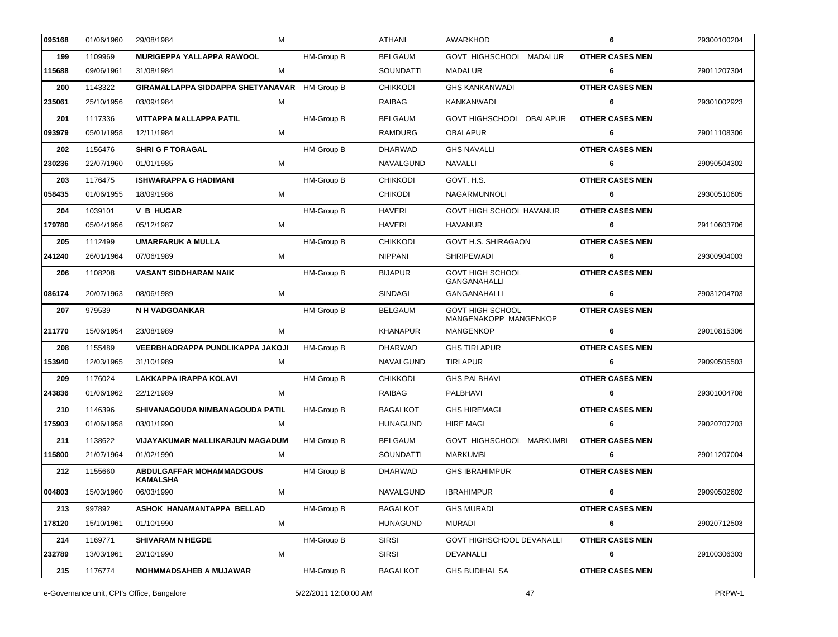| 095168 | 01/06/1960 | 29/08/1984<br>М                                    |                   | ATHANI           | <b>AWARKHOD</b>                                  | 6                      | 29300100204 |
|--------|------------|----------------------------------------------------|-------------------|------------------|--------------------------------------------------|------------------------|-------------|
| 199    | 1109969    | <b>MURIGEPPA YALLAPPA RAWOOL</b>                   | HM-Group B        | <b>BELGAUM</b>   | GOVT HIGHSCHOOL MADALUR                          | <b>OTHER CASES MEN</b> |             |
| 115688 | 09/06/1961 | М<br>31/08/1984                                    |                   | SOUNDATTI        | <b>MADALUR</b>                                   | 6                      | 29011207304 |
| 200    | 1143322    | GIRAMALLAPPA SIDDAPPA SHETYANAVAR HM-Group B       |                   | <b>CHIKKODI</b>  | <b>GHS KANKANWADI</b>                            | <b>OTHER CASES MEN</b> |             |
| 235061 | 25/10/1956 | 03/09/1984<br>M                                    |                   | RAIBAG           | KANKANWADI                                       | 6                      | 29301002923 |
| 201    | 1117336    | VITTAPPA MALLAPPA PATIL                            | HM-Group B        | <b>BELGAUM</b>   | GOVT HIGHSCHOOL OBALAPUR                         | <b>OTHER CASES MEN</b> |             |
| 093979 | 05/01/1958 | 12/11/1984<br>M                                    |                   | RAMDURG          | <b>OBALAPUR</b>                                  | 6                      | 29011108306 |
| 202    | 1156476    | <b>SHRI G F TORAGAL</b>                            | HM-Group B        | <b>DHARWAD</b>   | <b>GHS NAVALLI</b>                               | <b>OTHER CASES MEN</b> |             |
| 230236 | 22/07/1960 | 01/01/1985<br>М                                    |                   | <b>NAVALGUND</b> | NAVALLI                                          | 6                      | 29090504302 |
| 203    | 1176475    | ISHWARAPPA G HADIMANI                              | <b>HM-Group B</b> | <b>CHIKKODI</b>  | GOVT. H.S.                                       | <b>OTHER CASES MEN</b> |             |
| 058435 | 01/06/1955 | 18/09/1986<br>М                                    |                   | <b>CHIKODI</b>   | <b>NAGARMUNNOLI</b>                              | 6                      | 29300510605 |
| 204    | 1039101    | <b>V B HUGAR</b>                                   | <b>HM-Group B</b> | <b>HAVERI</b>    | GOVT HIGH SCHOOL HAVANUR                         | <b>OTHER CASES MEN</b> |             |
| 179780 | 05/04/1956 | 05/12/1987<br>М                                    |                   | <b>HAVERI</b>    | <b>HAVANUR</b>                                   | 6                      | 29110603706 |
| 205    | 1112499    | <b>UMARFARUK A MULLA</b>                           | HM-Group B        | <b>CHIKKODI</b>  | GOVT H.S. SHIRAGAON                              | <b>OTHER CASES MEN</b> |             |
| 241240 | 26/01/1964 | 07/06/1989<br>М                                    |                   | <b>NIPPANI</b>   | <b>SHRIPEWADI</b>                                | 6                      | 29300904003 |
| 206    | 1108208    | <b>VASANT SIDDHARAM NAIK</b>                       | <b>HM-Group B</b> | <b>BIJAPUR</b>   | <b>GOVT HIGH SCHOOL</b><br><b>GANGANAHALLI</b>   | <b>OTHER CASES MEN</b> |             |
| 086174 | 20/07/1963 | 08/06/1989<br>м                                    |                   | SINDAGI          | <b>GANGANAHALLI</b>                              | 6                      | 29031204703 |
| 207    | 979539     | <b>N H VADGOANKAR</b>                              | <b>HM-Group B</b> | <b>BELGAUM</b>   | <b>GOVT HIGH SCHOOL</b><br>MANGENAKOPP MANGENKOP | <b>OTHER CASES MEN</b> |             |
| 211770 | 15/06/1954 | 23/08/1989<br>М                                    |                   | <b>KHANAPUR</b>  | <b>MANGENKOP</b>                                 | 6                      | 29010815306 |
| 208    | 1155489    | VEERBHADRAPPA PUNDLIKAPPA JAKOJI                   | <b>HM-Group B</b> | <b>DHARWAD</b>   | <b>GHS TIRLAPUR</b>                              | <b>OTHER CASES MEN</b> |             |
| 153940 | 12/03/1965 | 31/10/1989<br>М                                    |                   | NAVALGUND        | <b>TIRLAPUR</b>                                  | 6                      | 29090505503 |
| 209    | 1176024    | LAKKAPPA IRAPPA KOLAVI                             | <b>HM-Group B</b> | <b>CHIKKODI</b>  | <b>GHS PALBHAVI</b>                              | <b>OTHER CASES MEN</b> |             |
| 243836 | 01/06/1962 | 22/12/1989<br>M                                    |                   | RAIBAG           | PALBHAVI                                         | 6                      | 29301004708 |
| 210    | 1146396    | SHIVANAGOUDA NIMBANAGOUDA PATIL                    | HM-Group B        | <b>BAGALKOT</b>  | <b>GHS HIREMAGI</b>                              | <b>OTHER CASES MEN</b> |             |
| 175903 | 01/06/1958 | 03/01/1990<br>M                                    |                   | <b>HUNAGUND</b>  | <b>HIRE MAGI</b>                                 | 6                      | 29020707203 |
| 211    | 1138622    | VIJAYAKUMAR MALLIKARJUN MAGADUM                    | <b>HM-Group B</b> | <b>BELGAUM</b>   | GOVT HIGHSCHOOL MARKUMBI                         | <b>OTHER CASES MEN</b> |             |
| 115800 | 21/07/1964 | 01/02/1990<br>М                                    |                   | <b>SOUNDATTI</b> | <b>MARKUMBI</b>                                  | 6                      | 29011207004 |
| 212    | 1155660    | <b>ABDULGAFFAR MOHAMMADGOUS</b><br><b>KAMALSHA</b> | HM-Group B        | <b>DHARWAD</b>   | <b>GHS IBRAHIMPUR</b>                            | <b>OTHER CASES MEN</b> |             |
| 004803 | 15/03/1960 | 06/03/1990<br>М                                    |                   | NAVALGUND        | <b>IBRAHIMPUR</b>                                | 6                      | 29090502602 |
| 213    | 997892     | ASHOK HANAMANTAPPA BELLAD                          | HM-Group B        | <b>BAGALKOT</b>  | <b>GHS MURADI</b>                                | <b>OTHER CASES MEN</b> |             |
| 178120 | 15/10/1961 | 01/10/1990<br>М                                    |                   | <b>HUNAGUND</b>  | <b>MURADI</b>                                    | 6                      | 29020712503 |
| 214    | 1169771    | <b>SHIVARAM N HEGDE</b>                            | HM-Group B        | <b>SIRSI</b>     | GOVT HIGHSCHOOL DEVANALLI                        | <b>OTHER CASES MEN</b> |             |
| 232789 | 13/03/1961 | 20/10/1990<br>М                                    |                   | <b>SIRSI</b>     | DEVANALLI                                        | 6                      | 29100306303 |
| 215    | 1176774    | <b>MOHMMADSAHEB A MUJAWAR</b>                      | HM-Group B        | <b>BAGALKOT</b>  | <b>GHS BUDIHAL SA</b>                            | <b>OTHER CASES MEN</b> |             |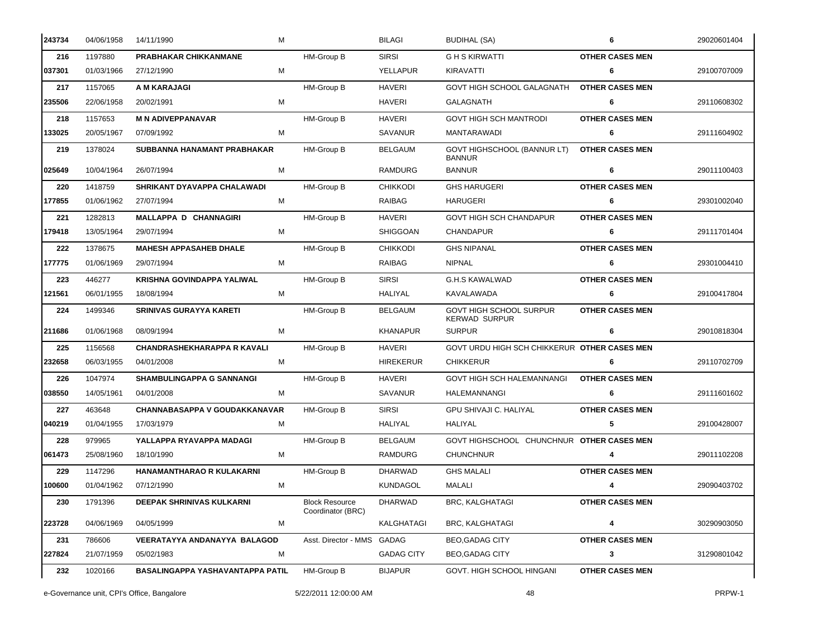| 243734 | 04/06/1958 | 14/11/1990                           | м                                          | <b>BILAGI</b>     | BUDIHAL (SA)                                    | 6                      | 29020601404 |
|--------|------------|--------------------------------------|--------------------------------------------|-------------------|-------------------------------------------------|------------------------|-------------|
| 216    | 1197880    | PRABHAKAR CHIKKANMANE                | HM-Group B                                 | <b>SIRSI</b>      | G H S KIRWATTI                                  | <b>OTHER CASES MEN</b> |             |
| 037301 | 01/03/1966 | 27/12/1990                           | м                                          | YELLAPUR          | <b>KIRAVATTI</b>                                | 6                      | 29100707009 |
| 217    | 1157065    | A M KARAJAGI                         | HM-Group B                                 | <b>HAVERI</b>     | GOVT HIGH SCHOOL GALAGNATH                      | <b>OTHER CASES MEN</b> |             |
| 235506 | 22/06/1958 | 20/02/1991                           | М                                          | <b>HAVERI</b>     | GALAGNATH                                       | 6                      | 29110608302 |
| 218    | 1157653    | <b>M N ADIVEPPANAVAR</b>             | HM-Group B                                 | <b>HAVERI</b>     | <b>GOVT HIGH SCH MANTRODI</b>                   | <b>OTHER CASES MEN</b> |             |
| 133025 | 20/05/1967 | 07/09/1992                           | M                                          | SAVANUR           | <b>MANTARAWADI</b>                              | 6                      | 29111604902 |
| 219    | 1378024    | SUBBANNA HANAMANT PRABHAKAR          | HM-Group B                                 | <b>BELGAUM</b>    | GOVT HIGHSCHOOL (BANNUR LT)<br><b>BANNUR</b>    | <b>OTHER CASES MEN</b> |             |
| 025649 | 10/04/1964 | 26/07/1994                           | М                                          | <b>RAMDURG</b>    | <b>BANNUR</b>                                   | 6                      | 29011100403 |
| 220    | 1418759    | SHRIKANT DYAVAPPA CHALAWADI          | HM-Group B                                 | <b>CHIKKODI</b>   | <b>GHS HARUGERI</b>                             | <b>OTHER CASES MEN</b> |             |
| 177855 | 01/06/1962 | 27/07/1994                           | М                                          | RAIBAG            | HARUGERI                                        | 6                      | 29301002040 |
| 221    | 1282813    | <b>MALLAPPA D CHANNAGIRI</b>         | HM-Group B                                 | <b>HAVERI</b>     | <b>GOVT HIGH SCH CHANDAPUR</b>                  | <b>OTHER CASES MEN</b> |             |
| 179418 | 13/05/1964 | 29/07/1994                           | М                                          | <b>SHIGGOAN</b>   | <b>CHANDAPUR</b>                                | 6                      | 29111701404 |
| 222    | 1378675    | <b>MAHESH APPASAHEB DHALE</b>        | HM-Group B                                 | <b>CHIKKODI</b>   | <b>GHS NIPANAL</b>                              | <b>OTHER CASES MEN</b> |             |
| 177775 | 01/06/1969 | 29/07/1994                           | М                                          | RAIBAG            | <b>NIPNAL</b>                                   | 6                      | 29301004410 |
| 223    | 446277     | <b>KRISHNA GOVINDAPPA YALIWAL</b>    | HM-Group B                                 | <b>SIRSI</b>      | <b>G.H.S KAWALWAD</b>                           | <b>OTHER CASES MEN</b> |             |
| 121561 | 06/01/1955 | 18/08/1994                           | М                                          | HALIYAL           | KAVALAWADA                                      | 6                      | 29100417804 |
| 224    | 1499346    | <b>SRINIVAS GURAYYA KARETI</b>       | <b>HM-Group B</b>                          | <b>BELGAUM</b>    | GOVT HIGH SCHOOL SURPUR<br><b>KERWAD SURPUR</b> | <b>OTHER CASES MEN</b> |             |
| 211686 | 01/06/1968 | 08/09/1994                           | М                                          | <b>KHANAPUR</b>   | <b>SURPUR</b>                                   | 6                      | 29010818304 |
| 225    | 1156568    | <b>CHANDRASHEKHARAPPA R KAVALI</b>   | HM-Group B                                 | <b>HAVERI</b>     | GOVT URDU HIGH SCH CHIKKERUR OTHER CASES MEN    |                        |             |
| 232658 | 06/03/1955 | 04/01/2008                           | М                                          | <b>HIREKERUR</b>  | <b>CHIKKERUR</b>                                | 6                      | 29110702709 |
| 226    | 1047974    | <b>SHAMBULINGAPPA G SANNANGI</b>     | <b>HM-Group B</b>                          | <b>HAVERI</b>     | GOVT HIGH SCH HALEMANNANGI                      | <b>OTHER CASES MEN</b> |             |
| 038550 | 14/05/1961 | 04/01/2008                           | M                                          | SAVANUR           | HALEMANNANGI                                    | 6                      | 29111601602 |
| 227    | 463648     | <b>CHANNABASAPPA V GOUDAKKANAVAR</b> | <b>HM-Group B</b>                          | <b>SIRSI</b>      | GPU SHIVAJI C. HALIYAL                          | <b>OTHER CASES MEN</b> |             |
| 040219 | 01/04/1955 | 17/03/1979                           | M                                          | HALIYAL           | <b>HALIYAL</b>                                  | 5                      | 29100428007 |
| 228    | 979965     | YALLAPPA RYAVAPPA MADAGI             | HM-Group B                                 | <b>BELGAUM</b>    | GOVT HIGHSCHOOL CHUNCHNUR OTHER CASES MEN       |                        |             |
| 061473 | 25/08/1960 | 18/10/1990                           | м                                          | RAMDURG           | <b>CHUNCHNUR</b>                                | 4                      | 29011102208 |
| 229    | 1147296    | HANAMANTHARAO R KULAKARNI            | <b>HM-Group B</b>                          | <b>DHARWAD</b>    | <b>GHS MALALI</b>                               | <b>OTHER CASES MEN</b> |             |
| 100600 | 01/04/1962 | 07/12/1990                           | М                                          | <b>KUNDAGOL</b>   | MALALI                                          | 4                      | 29090403702 |
| 230    | 1791396    | <b>DEEPAK SHRINIVAS KULKARNI</b>     | <b>Block Resource</b><br>Coordinator (BRC) | <b>DHARWAD</b>    | <b>BRC, KALGHATAGI</b>                          | <b>OTHER CASES MEN</b> |             |
| 223728 | 04/06/1969 | 04/05/1999                           | M                                          | KALGHATAGI        | <b>BRC, KALGHATAGI</b>                          | 4                      | 30290903050 |
| 231    | 786606     | VEERATAYYA ANDANAYYA BALAGOD         | Asst. Director - MMS                       | GADAG             | <b>BEO, GADAG CITY</b>                          | <b>OTHER CASES MEN</b> |             |
| 227824 | 21/07/1959 | 05/02/1983                           | м                                          | <b>GADAG CITY</b> | <b>BEO, GADAG CITY</b>                          | 3                      | 31290801042 |
| 232    | 1020166    | BASALINGAPPA YASHAVANTAPPA PATIL     | HM-Group B                                 | <b>BIJAPUR</b>    | GOVT. HIGH SCHOOL HINGANI                       | <b>OTHER CASES MEN</b> |             |